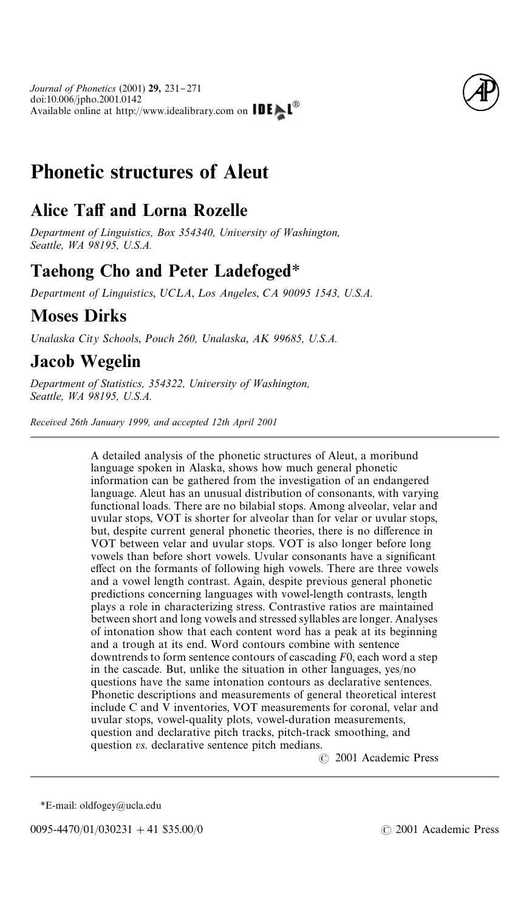

# Phonetic structures of Aleut

# Alice Taff and Lorna Rozelle

*Department of Linguistics, Box 354340, University of Washington, Seattle, WA 98195, U.S.A.*

# Taehong Cho and Peter Ladefoged*\**

*Department of Linguistics, UCLA, Los Angeles, CA 90095 1543, U.S.A.* 

## Moses Dirks

;*nalaska City Schools*, *Pouch 260,* ;*nalaska*, *AK 99685, U.S.A.*

# Jacob Wegelin

*Department of Statistics, 354322, University of Washington, Seattle, WA 98195, U.S.A.*

*Received 26th January 1999, and accepted 12th April 2001*

A detailed analysis of the phonetic structures of Aleut, a moribund language spoken in Alaska, shows how much general phonetic information can be gathered from the investigation of an endangered language. Aleut has an unusual distribution of consonants, with varying functional loads. There are no bilabial stops. Among alveolar, velar and uvular stops, VOT is shorter for alveolar than for velar or uvular stops, but, despite current general phonetic theories, there is no difference in VOT between velar and uvular stops. VOT is also longer before long vowels than before short vowels. Uvular consonants have a significant effect on the formants of following high vowels. There are three vowels and a vowel length contrast. Again, despite previous general phonetic predictions concerning languages with vowel-length contrasts, length plays a role in characterizing stress. Contrastive ratios are maintained between short and long vowels and stressed syllables are longer. Analyses of intonation show that each content word has a peak at its beginning and a trough at its end. Word contours combine with sentence downtrends to form sentence contours of cascading *F*0, each word a step in the cascade. But, unlike the situation in other languages, yes/no questions have the same intonation contours as declarative sentences. Phonetic descriptions and measurements of general theoretical interest include C and V inventories, VOT measurements for coronal, velar and uvular stops, vowel-quality plots, vowel-duration measurements, question and declarative pitch tracks, pitch-track smoothing, and question *vs*. declarative sentence pitch medians.

( 2001 Academic Press

*\**E-mail: oldfogey@ucla.edu

 $0.0095-4470/01/030231+41$  \$35.00/0 (2001 Academic Press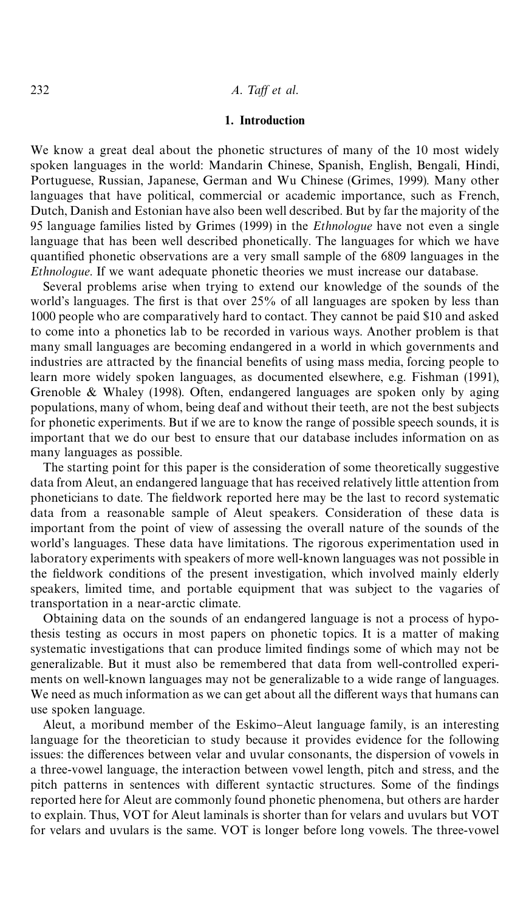## 232 *A. Taff et al.*

## 1. Introduction

We know a great deal about the phonetic structures of many of the 10 most widely spoken languages in the world: Mandarin Chinese, Spanish, English, Bengali, Hindi, Portuguese, Russian, Japanese, German and Wu Chinese [\(Grimes, 1999\).](#page-35-0) Many other languages that have political, commercial or academic importance, such as French, Dutch, Danish and Estonian have also been well described. But by far the majority of the 95 language families listed by [Grimes \(1999\)](#page-35-0) in the *Ethnologue* have not even a single language that has been well described phonetically. The languages for which we have quantified phonetic observations are a very small sample of the 6809 languages in the *Ethnologue*. If we want adequate phonetic theories we must increase our database.

Several problems arise when trying to extend our knowledge of the sounds of the world's languages. The first is that over  $25\%$  of all languages are spoken by less than 1000 people who are comparatively hard to contact. They cannot be paid \$10 and asked to come into a phonetics lab to be recorded in various ways. Another problem is that many small languages are becoming endangered in a world in which governments and industries are attracted by the financial benefits of using mass media, forcing people to learn more widely spoken languages, as documented elsewhere, e.g. [Fishman \(1991\),](#page-35-0) [Grenoble & Whaley \(1998\).](#page-35-0) Often, endangered languages are spoken only by aging populations, many of whom, being deaf and without their teeth, are not the best subjects for phonetic experiments. But if we are to know the range of possible speech sounds, it is important that we do our best to ensure that our database includes information on as many languages as possible.

The starting point for this paper is the consideration of some theoretically suggestive data from Aleut, an endangered language that has received relatively little attention from phoneticians to date. The fieldwork reported here may be the last to record systematic data from a reasonable sample of Aleut speakers. Consideration of these data is important from the point of view of assessing the overall nature of the sounds of the world's languages. These data have limitations. The rigorous experimentation used in laboratory experiments with speakers of more well-known languages was not possible in the fieldwork conditions of the present investigation, which involved mainly elderly speakers, limited time, and portable equipment that was subject to the vagaries of transportation in a near-arctic climate.

Obtaining data on the sounds of an endangered language is not a process of hypothesis testing as occurs in most papers on phonetic topics. It is a matter of making systematic investigations that can produce limited findings some of which may not be generalizable. But it must also be remembered that data from well-controlled experiments on well-known languages may not be generalizable to a wide range of languages. We need as much information as we can get about all the different ways that humans can use spoken language.

Aleut, a moribund member of the Eskimo-Aleut language family, is an interesting language for the theoretician to study because it provides evidence for the following issues: the differences between velar and uvular consonants, the dispersion of vowels in a three-vowel language, the interaction between vowel length, pitch and stress, and the pitch patterns in sentences with different syntactic structures. Some of the findings reported here for Aleut are commonly found phonetic phenomena, but others are harder to explain. Thus, VOT for Aleut laminals is shorter than for velars and uvulars but VOT for velars and uvulars is the same. VOT is longer before long vowels. The three-vowel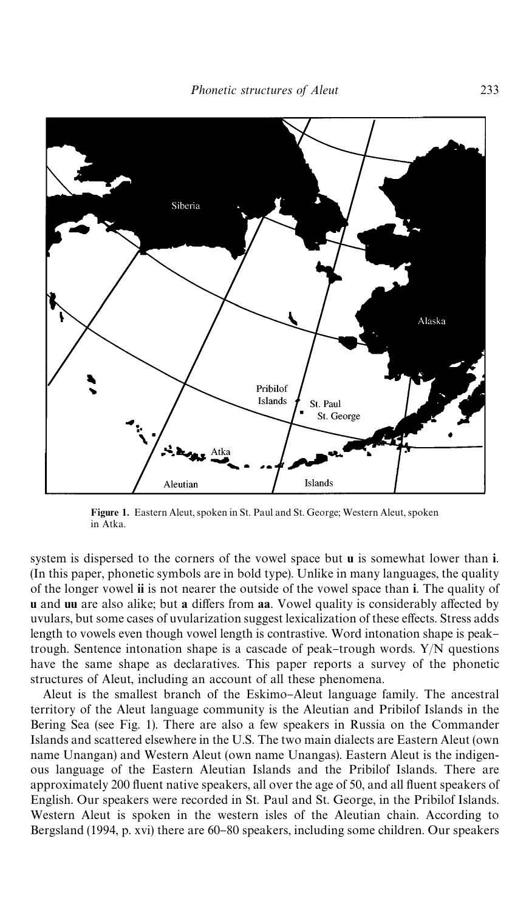

Figure 1. Eastern Aleut, spoken in St. Paul and St. George; Western Aleut, spoken in Atka.

system is dispersed to the corners of the vowel space but u is somewhat lower than i. (In this paper, phonetic symbols are in bold type). Unlike in many languages, the quality of the longer vowel ii is not nearer the outside of the vowel space than i. The quality of u and uu are also alike; but a differs from aa. Vowel quality is considerably affected by uvulars, but some cases of uvularization suggest lexicalization of these effects. Stress adds length to vowels even though vowel length is contrastive. Word intonation shape is peaktrough. Sentence intonation shape is a cascade of peak-trough words.  $Y/N$  questions have the same shape as declaratives. This paper reports a survey of the phonetic structures of Aleut, including an account of all these phenomena.

Aleut is the smallest branch of the Eskimo-Aleut language family. The ancestral territory of the Aleut language community is the Aleutian and Pribilof Islands in the Bering Sea (see Fig. 1). There are also a few speakers in Russia on the Commander Islands and scattered elsewhere in the U.S. The two main dialects are Eastern Aleut (own name Unangan) and Western Aleut (own name Unangas). Eastern Aleut is the indigenous language of the Eastern Aleutian Islands and the Pribilof Islands. There are approximately 200 fluent native speakers, all over the age of 50, and all fluent speakers of English. Our speakers were recorded in St. Paul and St. George, in the Pribilof Islands. Western Aleut is spoken in the western isles of the Aleutian chain. According to [Bergsland \(1994,](#page-35-0) p. xvi) there are 60–80 speakers, including some children. Our speakers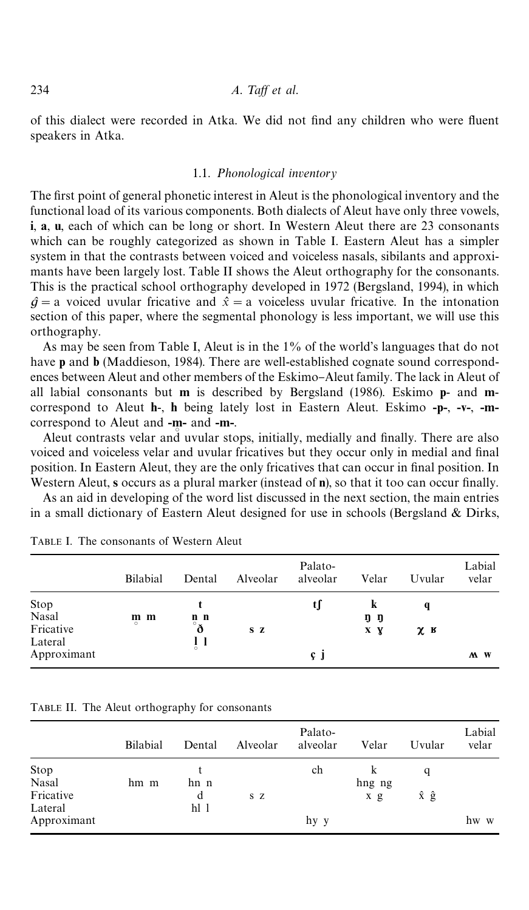<span id="page-3-0"></span>of this dialect were recorded in Atka. We did not find any children who were fluent speakers in Atka.

## 1.1. *Phonological inventory*

The first point of general phonetic interest in Aleut is the phonological inventory and the functional load of its various components. Both dialects of Aleut have only three vowels, i, a, u, each of which can be long or short. In Western Aleut there are 23 consonants which can be roughly categorized as shown in Table I. Eastern Aleut has a simpler system in that the contrasts between voiced and voiceless nasals, sibilants and approximants have been largely lost. Table II shows the Aleut orthography for the consonants. This is the practical school orthography developed in 1972 [\(Bergsland, 1994\),](#page-35-0) in which  $\hat{g}$  = a voiced uvular fricative and  $\hat{x}$  = a voiceless uvular fricative. In the intonation section of this paper, where the segmental phonology is less important, we will use this orthography.

As may be seen from Table I, Aleut is in the 1% of the world's languages that do not have **p** and **b** [\(Maddieson, 1984\).](#page-36-0) There are well-established cognate sound correspondences between Aleut and other members of the Eskimo-Aleut family. The lack in Aleut of all labial consonants but  **is described by [Bergsland \(1986\)](#page-35-0). Eskimo**  $**p**$ **- and**  $**m**$ correspond to Aleut h-, h being lately lost in Eastern Aleut. Eskimo -p-, -v-, -mcorrespond to Aleut and -m- and -m-.

Aleut contrasts velar and uvular stops, initially, medially and finally. There are also voiced and voiceless velar and uvular fricatives but they occur only in medial and final position. In Eastern Aleut, they are the only fricatives that can occur in final position. In Western Aleut,  $s$  occurs as a plural marker (instead of  $n$ ), so that it too can occur finally.

As an aid in developing of the word list discussed in the next section, the main entries in a small dictionary of Eastern Aleut designed for use in schools [\(Bergsland & Dirks,](#page-35-0)

|                                       | <b>Bilabial</b>   | Dental                       | Alveolar | Palato-<br>alveolar | Velar          | Uvular     | Labial<br>velar |
|---------------------------------------|-------------------|------------------------------|----------|---------------------|----------------|------------|-----------------|
| Stop<br>Nasal<br>Fricative<br>Lateral | m<br>m<br>$\circ$ | $\int_{0}^{\infty}$ n<br>Î I | SZ       | tJ                  | k<br>ŋŋ<br>x y | q<br>$x_R$ |                 |
| Approximant                           |                   |                              |          | $c_{1}$             |                |            | <b>M</b> W      |

|  |  | TABLE I. The consonants of Western Aleut |  |  |  |
|--|--|------------------------------------------|--|--|--|
|--|--|------------------------------------------|--|--|--|

TABLE II. The Aleut orthography for consonants

|                                     | <b>Bilabial</b> | Dental   | Alveolar | Palato-<br>alveolar | Velar       | Uvular     | Labial<br>velar |
|-------------------------------------|-----------------|----------|----------|---------------------|-------------|------------|-----------------|
| Stop<br>Nasal                       | hm m            | hn n     |          | ch                  | k<br>hng ng | q          |                 |
| Fricative<br>Lateral<br>Approximant |                 | d<br>h11 | S Z      | hy y                | $X \, g$    | <i>î</i> ĝ | hw w            |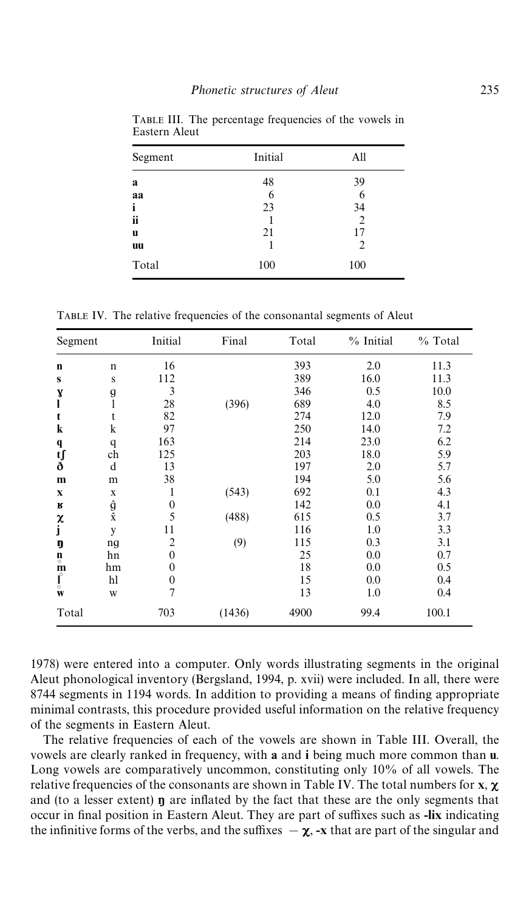| Segment     | Initial | All            |
|-------------|---------|----------------|
| a           | 48      | 39             |
| aa          | 6       | 6              |
| i           | 23      | 34             |
| ii          |         | $\overline{2}$ |
| $\mathbf u$ | 21      | 17             |
| uu          |         | 2              |
| Total       | 100     | 100            |

<span id="page-4-0"></span>TABLE III. The percentage frequencies of the vowels in Eastern Aleut

TABLE IV. The relative frequencies of the consonantal segments of Aleut

| Segment                      |               | Initial        | Final  | Total | % Initial | % Total |
|------------------------------|---------------|----------------|--------|-------|-----------|---------|
| $\mathbf n$                  | n             | 16             |        | 393   | 2.0       | 11.3    |
| S                            | S             | 112            |        | 389   | 16.0      | 11.3    |
| Y                            |               | 3              |        | 346   | 0.5       | 10.0    |
| l                            | $\frac{9}{1}$ | 28             | (396)  | 689   | 4.0       | 8.5     |
| t                            | t             | 82             |        | 274   | 12.0      | 7.9     |
| k                            | k             | 97             |        | 250   | 14.0      | 7.2     |
| q                            | q             | 163            |        | 214   | 23.0      | 6.2     |
| tſ                           | ch            | 125            |        | 203   | 18.0      | 5.9     |
| ð                            | d             | 13             |        | 197   | 2.0       | 5.7     |
| m                            | m             | 38             |        | 194   | 5.0       | 5.6     |
| $\mathbf x$                  | X             | 1              | (543)  | 692   | 0.1       | 4.3     |
| R                            |               | $\overline{0}$ |        | 142   | 0.0       | 4.1     |
|                              | ĝ<br>Â        | 5              | (488)  | 615   | 0.5       | 3.7     |
| $_{\rm j}^{\chi}$            | y             | 11             |        | 116   | 1.0       | 3.3     |
| ŋ                            | ng            | 2              | (9)    | 115   | 0.3       | 3.1     |
| $\mathbf{n}$                 | hn            | 0              |        | 25    | 0.0       | 0.7     |
| m                            | hm            | 0              |        | 18    | 0.0       | 0.5     |
| $\tilde{\mathbf{I}}^{\circ}$ | hl            | $\overline{0}$ |        | 15    | 0.0       | 0.4     |
| $\circ$<br>W                 | W             | $\overline{7}$ |        | 13    | 1.0       | 0.4     |
| Total                        |               | 703            | (1436) | 4900  | 99.4      | 100.1   |

[1978\)](#page-35-0) were entered into a computer. Only words illustrating segments in the original Aleut phonological inventory [\(Bergsland, 1994,](#page-35-0) p. xvii) were included. In all, there were 8744 segments in 1194 words. In addition to providing a means of finding appropriate minimal contrasts, this procedure provided useful information on the relative frequency of the segments in Eastern Aleut.

The relative frequencies of each of the vowels are shown in Table III. Overall, the vowels are clearly ranked in frequency, with a and i being much more common than u. Long vowels are comparatively uncommon, constituting only 10% of all vowels. The relative frequencies of the consonants are shown in Table IV. The total numbers for  $x, \chi$ and (to a lesser extent)  $\eta$  are inflated by the fact that these are the only segments that occur in final position in Eastern Aleut. They are part of suffixes such as -lix indicating the infinitive forms of the verbs, and the suffixes  $-\chi$ , -x that are part of the singular and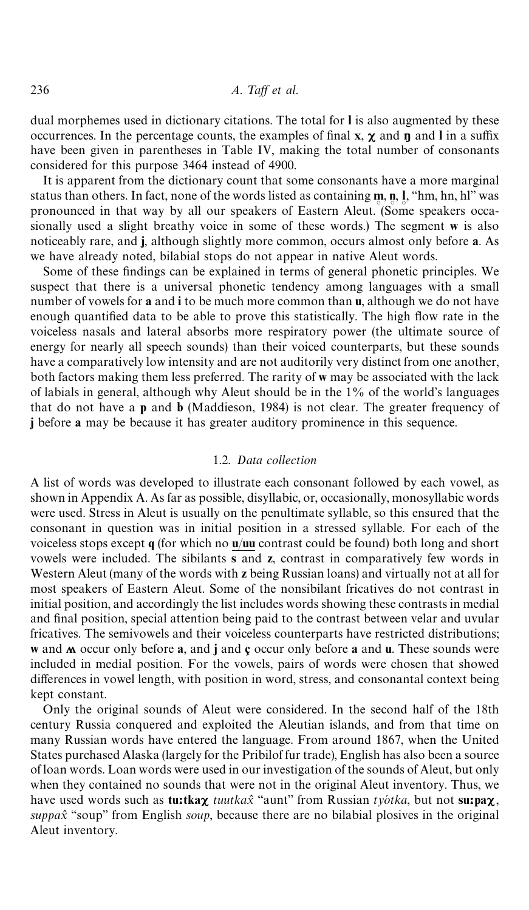dual morphemes used in dictionary citations. The total for l is also augmented by these occurrences. In the percentage counts, the examples of final  $x$ ,  $\gamma$  and  $\eta$  and  $\eta$  in a suffix have been given in parentheses in [Table IV,](#page-4-0) making the total number of consonants considered for this purpose 3464 instead of 4900.

It is apparent from the dictionary count that some consonants have a more marginal status than others. In fact, none of the words listed as containing  $\mathbf{m}, \mathbf{n}, \mathbf{b}, \cdot$  "hm, hn, hl" was pronounced in that way by all our speakers of Eastern Aleut. (Some speakers occasionally used a slight breathy voice in some of these words.) The segment w is also noticeably rare, and j, although slightly more common, occurs almost only before a. As we have already noted, bilabial stops do not appear in native Aleut words.

Some of these findings can be explained in terms of general phonetic principles. We suspect that there is a universal phonetic tendency among languages with a small number of vowels for **a** and **i** to be much more common than **u**, although we do not have enough quantified data to be able to prove this statistically. The high flow rate in the voiceless nasals and lateral absorbs more respiratory power (the ultimate source of energy for nearly all speech sounds) than their voiced counterparts, but these sounds have a comparatively low intensity and are not auditorily very distinct from one another, both factors making them less preferred. The rarity of w may be associated with the lack of labials in general, although why Aleut should be in the 1% of the world's languages that do not have a p and b [\(Maddieson, 1984\)](#page-36-0) is not clear. The greater frequency of j before a may be because it has greater auditory prominence in this sequence.

## 1.2. *Data collection*

A list of words was developed to illustrate each consonant followed by each vowel, as shown in [Appendix A.](#page-36-0) As far as possible, disyllabic, or, occasionally, monosyllabic words were used. Stress in Aleut is usually on the penultimate syllable, so this ensured that the consonant in question was in initial position in a stressed syllable. For each of the voiceless stops except q (for which no u/uu contrast could be found) both long and short vowels were included. The sibilants  $\overline{s}$  and  $\overline{z}$ , contrast in comparatively few words in Western Aleut (many of the words with z being Russian loans) and virtually not at all for most speakers of Eastern Aleut. Some of the nonsibilant fricatives do not contrast in initial position, and accordingly the list includes words showing these contrasts in medial and final position, special attention being paid to the contrast between velar and uvular fricatives. The semivowels and their voiceless counterparts have restricted distributions; w and  $\bf{M}$  occur only before **a**, and **j** and **c** occur only before **a** and **u**. These sounds were included in medial position. For the vowels, pairs of words were chosen that showed differences in vowel length, with position in word, stress, and consonantal context being kept constant.

Only the original sounds of Aleut were considered. In the second half of the 18th century Russia conquered and exploited the Aleutian islands, and from that time on many Russian words have entered the language. From around 1867, when the United States purchased Alaska (largely for the Pribilof fur trade), English has also been a source of loan words. Loan words were used in our investigation of the sounds of Aleut, but only when they contained no sounds that were not in the original Aleut inventory. Thus, we have used words such as *tu:tkaχ <i>tuutka*x "aunt" from Russian *tyotka*, but not su:paχ,  $suppa\hat{x}$  "soup" from English *soup*, because there are no bilabial plosives in the original Aleut inventory.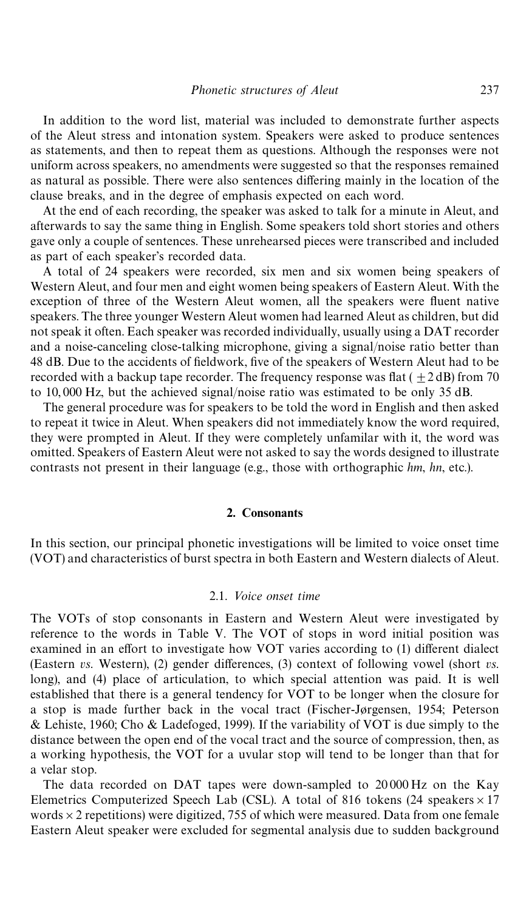In addition to the word list, material was included to demonstrate further aspects of the Aleut stress and intonation system. Speakers were asked to produce sentences as statements, and then to repeat them as questions. Although the responses were not uniform across speakers, no amendments were suggested so that the responses remained as natural as possible. There were also sentences differing mainly in the location of the clause breaks, and in the degree of emphasis expected on each word.

At the end of each recording, the speaker was asked to talk for a minute in Aleut, and afterwards to say the same thing in English. Some speakers told short stories and others gave only a couple of sentences. These unrehearsed pieces were transcribed and included as part of each speaker's recorded data.

A total of 24 speakers were recorded, six men and six women being speakers of Western Aleut, and four men and eight women being speakers of Eastern Aleut. With the exception of three of the Western Aleut women, all the speakers were fluent native speakers. The three younger Western Aleut women had learned Aleut as children, but did not speak it often. Each speaker was recorded individually, usually using a DAT recorder and a noise-canceling close-talking microphone, giving a signal/noise ratio better than 48 dB. Due to the accidents of fieldwork, five of the speakers of Western Aleut had to be recorded with a backup tape recorder. The frequency response was flat ( $\pm 2$ dB) from 70 to 10,000 Hz, but the achieved signal/noise ratio was estimated to be only 35 dB.

The general procedure was for speakers to be told the word in English and then asked to repeat it twice in Aleut. When speakers did not immediately know the word required, they were prompted in Aleut. If they were completely unfamilar with it, the word was omitted. Speakers of Eastern Aleut were not asked to say the words designed to illustrate contrasts not present in their language (e.g., those with orthographic *hm*, *hn*, etc.).

### 2. Consonants

In this section, our principal phonetic investigations will be limited to voice onset time (VOT) and characteristics of burst spectra in both Eastern and Western dialects of Aleut.

#### 2.1. Voice onset time

The VOTs of stop consonants in Eastern and Western Aleut were investigated by reference to the words in [Table V.](#page-7-0) The VOT of stops in word initial position was examined in an effort to investigate how VOT varies according to (1) different dialect (Eastern *vs*. Western), (2) gender differences, (3) context of following vowel (short *vs*. long), and (4) place of articulation, to which special attention was paid. It is well established that there is a general tendency for VOT to be longer when the closure for a stop is made further back in the vocal tract (Fischer-Jø[rgensen, 1954;](#page-35-0) [Peterson](#page-36-0) [& Lehiste, 1960;](#page-36-0) [Cho & Ladefoged, 1999\)](#page-35-0). If the variability of VOT is due simply to the distance between the open end of the vocal tract and the source of compression, then, as a working hypothesis, the VOT for a uvular stop will tend to be longer than that for a velar stop.

The data recorded on DAT tapes were down-sampled to 20000 Hz on the Kay The data recorded on DAT tapes were down-sampled to 20000 Hz on the Kay Elemetrics Computerized Speech Lab (CSL). A total of 816 tokens (24 speakers  $\times$  17 Elemetrics Computerized Speech Lab (CSL). A total of 816 tokens (24 speakers  $\times$  17 words  $\times$  2 repetitions) were digitized, 755 of which were measured. Data from one female Eastern Aleut speaker were excluded for segmental analysis due to sudden background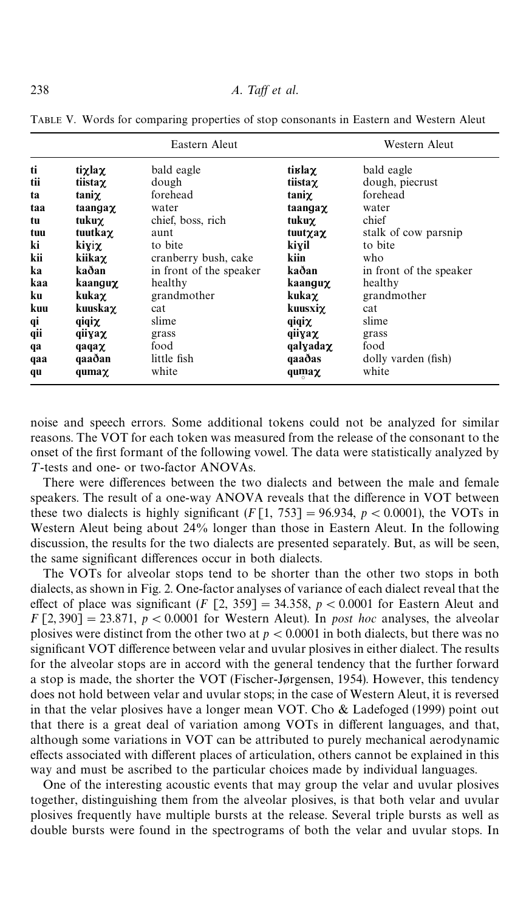|     |                | Eastern Aleut           |                      | Western Aleut           |
|-----|----------------|-------------------------|----------------------|-------------------------|
| ti  | tiχlaχ         | bald eagle              | tikla $\chi$         | bald eagle              |
| tii | tiista $\chi$  | dough                   | tiistaγ              | dough, piecrust         |
| ta  | $tani\chi$     | forehead                | $tani\chi$           | forehead                |
| taa | taangay        | water                   | taangay              | water                   |
| tu  | tukuγ          | chief, boss, rich       | tukuγ                | chief                   |
| tuu | tuutka γ       | aunt                    | tuut $\chi$ a $\chi$ | stalk of cow parsnip    |
| ki  | kiγiχ          | to bite                 | kiyil                | to bite                 |
| kii | kiikaγ         | cranberry bush, cake    | kiin                 | who                     |
| ka  | kaðan          | in front of the speaker | kaðan                | in front of the speaker |
| kaa | kaangux        | healthy                 | kaanguχ              | healthy                 |
| ku  | kukaγ          | grandmother             | kukaχ                | grandmother             |
| kuu | kuuskaχ        | cat                     | kuusxiγ              | cat                     |
| qi  | $q$ iqi $\chi$ | slime                   | $qiqi\chi$           | slime                   |
| qii | qiiyax         | grass                   | qiiyax               | grass                   |
| qa  | qaqaχ          | food                    | qalyadaχ             | food                    |
| qaa | qaaðan         | little fish             | qaadas               | dolly varden (fish)     |
| qu  | $q$ uma $\chi$ | white                   | $quma\chi$           | white                   |

<span id="page-7-0"></span>TABLE V. Words for comparing properties of stop consonants in Eastern and Western Aleut

noise and speech errors. Some additional tokens could not be analyzed for similar reasons. The VOT for each token was measured from the release of the consonant to the onset of the first formant of the following vowel. The data were statistically analyzed by T-tests and one- or two-factor ANOVAs.

There were differences between the two dialects and between the male and female speakers. The result of a one-way ANOVA reveals that the difference in VOT between these two dialects is highly significant  $(F[1, 753] = 96.934, p < 0.0001)$ , the VOTs in Western Aleut being about 24% longer than those in Eastern Aleut. In the following discussion, the results for the two dialects are presented separately. But, as will be seen, the same significant differences occur in both dialects.

The VOTs for alveolar stops tend to be shorter than the other two stops in both dialects, as shown in [Fig. 2.](#page-8-0) One-factor analyses of variance of each dialect reveal that the effect of place was significant ( $F$  [2, 359] = 34.358,  $p$  < 0.0001 for Eastern Aleut and  $F$  [2,390] = 23.871,  $p$  < 0.0001 for Western Aleut). In *post hoc* analyses, the alveolar plosives were distinct from the other two at  $p < 0.0001$  in both dialects, but there was no significant VOT difference between velar and uvular plosives in either dialect. The results for the alveolar stops are in accord with the general tendency that the further forward a stop is made, the shorter the VOT (Fischer-Jø[rgensen, 1954\).](#page-35-0) However, this tendency does not hold between velar and uvular stops; in the case of Western Aleut, it is reversed in that the velar plosives have a longer mean VOT[. Cho & Ladefoged \(1999\)](#page-35-0) point out that there is a great deal of variation among VOTs in different languages, and that, although some variations in VOT can be attributed to purely mechanical aerodynamic effects associated with different places of articulation, others cannot be explained in this way and must be ascribed to the particular choices made by individual languages.

One of the interesting acoustic events that may group the velar and uvular plosives together, distinguishing them from the alveolar plosives, is that both velar and uvular plosives frequently have multiple bursts at the release. Several triple bursts as well as double bursts were found in the spectrograms of both the velar and uvular stops. In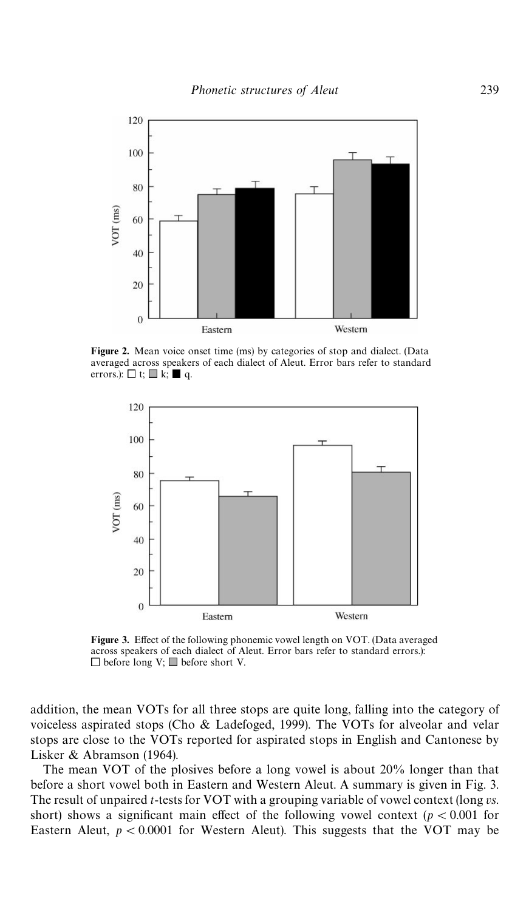<span id="page-8-0"></span>

Figure 2. Mean voice onset time (ms) by categories of stop and dialect. (Data averaged across speakers of each dialect of Aleut. Error bars refer to standard errors.):  $\Box$  t;  $\Box$  k;  $\Box$  q.



Figure 3. Effect of the following phonemic vowel length on VOT. (Data averaged across speakers of each dialect of Aleut. Error bars refer to standard errors.):  $\Box$  before long V;  $\Box$  before short V.

addition, the mean VOTs for all three stops are quite long, falling into the category of voiceless aspirated stops [\(Cho & Ladefoged, 1999\).](#page-35-0) The VOTs for alveolar and velar stops are close to the VOTs reported for aspirated stops in English and Cantonese by [Lisker & Abramson \(1964\).](#page-35-0)

The mean VOT of the plosives before a long vowel is about 20% longer than that before a short vowel both in Eastern and Western Aleut. A summary is given in Fig. 3. The result of unpaired *t*-tests for VOT with a grouping variable of vowel context (long *vs*. short) shows a significant main effect of the following vowel context ( $p < 0.001$  for Eastern Aleut,  $p < 0.0001$  for Western Aleut). This suggests that the VOT may be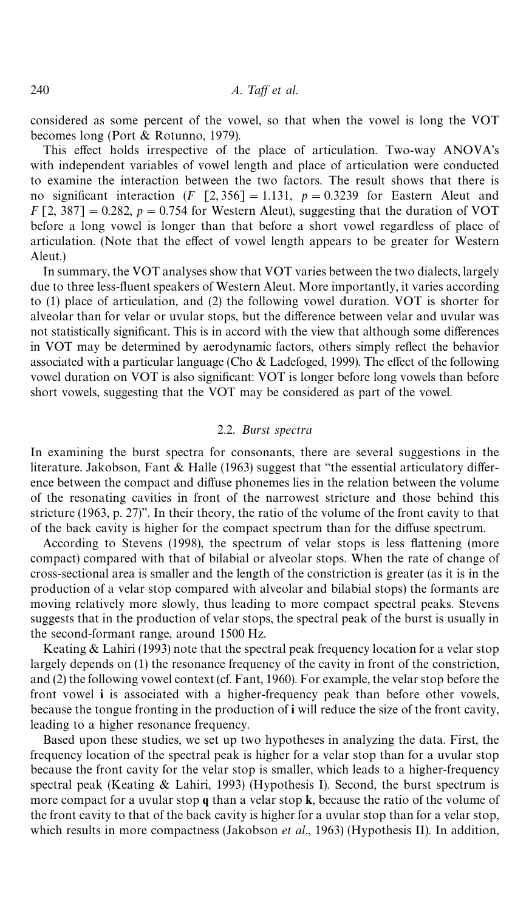considered as some percent of the vowel, so that when the vowel is long the VOT becomes long [\(Port & Rotunno, 1979\).](#page-36-0)

This effect holds irrespective of the place of articulation. Two-way ANOVA's with independent variables of vowel length and place of articulation were conducted to examine the interaction between the two factors. The result shows that there is no significant interaction  $(F \t{2,} 356] = 1.131$ ,  $p = 0.3239$  for Eastern Aleut and *F* [2, 387] = 0.282, *p* = 0.754 for Western Aleut), suggesting that the duration of VOT before a long vowel is longer than that before a short vowel regardless of place of articulation. (Note that the effect of vowel length appears to be greater for Western Aleut.)

In summary, the VOT analyses show that VOT varies between the two dialects, largely due to three less-fluent speakers of Western Aleut. More importantly, it varies according to (1) place of articulation, and (2) the following vowel duration. VOT is shorter for alveolar than for velar or uvular stops, but the difference between velar and uvular was not statistically significant. This is in accord with the view that although some differences in VOT may be determined by aerodynamic factors, others simply reflect the behavior associated with a particular language (Cho  $&$  Ladefoged, 1999). The effect of the following vowel duration on VOT is also significant: VOT is longer before long vowels than before short vowels, suggesting that the VOT may be considered as part of the vowel.

#### 2.2. *Burst spectra*

In examining the burst spectra for consonants, there are several suggestions in the literature. Jakobson, Fant  $&$  Halle (1963) suggest that "the essential articulatory difference between the compact and diffuse phonemes lies in the relation between the volume of the resonating cavities in front of the narrowest stricture and those behind this stricture (1963, p. 27)''. In their theory, the ratio of the volume of the front cavity to that of the back cavity is higher for the compact spectrum than for the diffuse spectrum.

According to [Stevens \(1998\),](#page-36-0) the spectrum of velar stops is less flattening (more compact) compared with that of bilabial or alveolar stops. When the rate of change of cross-sectional area is smaller and the length of the constriction is greater (as it is in the production of a velar stop compared with alveolar and bilabial stops) the formants are moving relatively more slowly, thus leading to more compact spectral peaks. Stevens suggests that in the production of velar stops, the spectral peak of the burst is usually in the second-formant range, around 1500 Hz.

Keating  $\&$  Lahiri (1993) note that the spectral peak frequency location for a velar stop largely depends on (1) the resonance frequency of the cavity in front of the constriction, and (2) the following vowel context (cf. [Fant, 1960\).](#page-35-0) For example, the velar stop before the front vowel i is associated with a higher-frequency peak than before other vowels, because the tongue fronting in the production of i will reduce the size of the front cavity, leading to a higher resonance frequency.

Based upon these studies, we set up two hypotheses in analyzing the data. First, the frequency location of the spectral peak is higher for a velar stop than for a uvular stop because the front cavity for the velar stop is smaller, which leads to a higher-frequency spectral peak [\(Keating & Lahiri, 1993\)](#page-35-0) (Hypothesis I). Second, the burst spectrum is more compact for a uvular stop  $q$  than a velar stop  $k$ , because the ratio of the volume of the front cavity to that of the back cavity is higher for a uvular stop than for a velar stop, which results in more compactness [\(Jakobson](#page-35-0) *et al*., 1963) (Hypothesis II). In addition,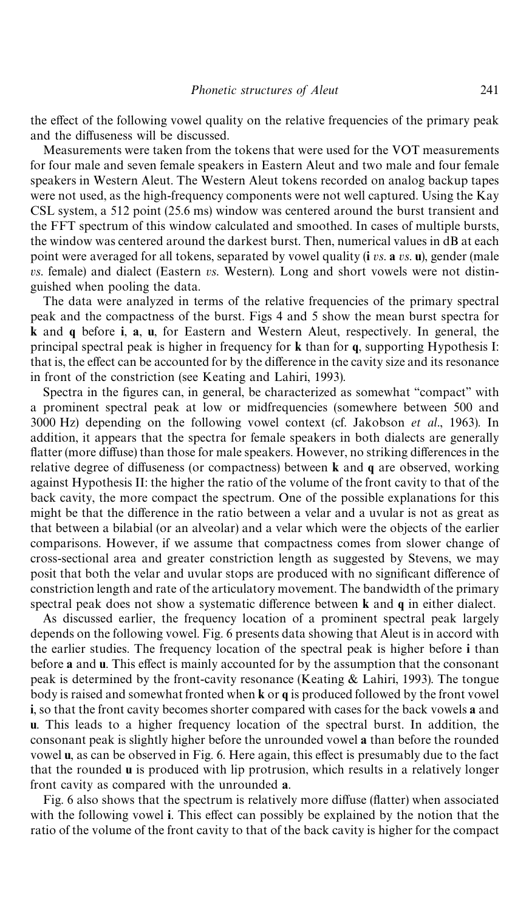the effect of the following vowel quality on the relative frequencies of the primary peak and the diffuseness will be discussed.

Measurements were taken from the tokens that were used for the VOT measurements for four male and seven female speakers in Eastern Aleut and two male and four female speakers in Western Aleut. The Western Aleut tokens recorded on analog backup tapes were not used, as the high-frequency components were not well captured. Using the Kay CSL system, a 512 point (25.6 ms) window was centered around the burst transient and the FFT spectrum of this window calculated and smoothed. In cases of multiple bursts, the window was centered around the darkest burst. Then, numerical values in dB at each point were averaged for all tokens, separated by vowel quality (i *vs*. a *vs*. u), gender (male *vs*. female) and dialect (Eastern *vs*. Western). Long and short vowels were not distinguished when pooling the data.

The data were analyzed in terms of the relative frequencies of the primary spectral peak and the compactness of the burst[. Figs 4](#page-11-0) and [5](#page-12-0) show the mean burst spectra for k and q before i, a, u, for Eastern and Western Aleut, respectively. In general, the principal spectral peak is higher in frequency for  $k$  than for  $q$ , supporting Hypothesis I: that is, the effect can be accounted for by the difference in the cavity size and its resonance in front of the constriction (see [Keating and Lahiri, 1993\)](#page-35-0).

Spectra in the figures can, in general, be characterized as somewhat "compact" with a prominent spectral peak at low or midfrequencies (somewhere between 500 and 3000 Hz) depending on the following vowel context (cf. [Jakobson](#page-35-0) *et al*., 1963). In addition, it appears that the spectra for female speakers in both dialects are generally flatter (more diffuse) than those for male speakers. However, no striking differences in the relative degree of diffuseness (or compactness) between  $k$  and  $q$  are observed, working against Hypothesis II: the higher the ratio of the volume of the front cavity to that of the back cavity, the more compact the spectrum. One of the possible explanations for this might be that the difference in the ratio between a velar and a uvular is not as great as that between a bilabial (or an alveolar) and a velar which were the objects of the earlier comparisons. However, if we assume that compactness comes from slower change of cross-sectional area and greater constriction length as suggested by Stevens, we may posit that both the velar and uvular stops are produced with no significant difference of constriction length and rate of the articulatory movement. The bandwidth of the primary spectral peak does not show a systematic difference between  $\bf{k}$  and  $\bf{q}$  in either dialect.

As discussed earlier, the frequency location of a prominent spectral peak largely depends on the following vowel. [Fig. 6 p](#page-13-0)resents data showing that Aleut is in accord with the earlier studies. The frequency location of the spectral peak is higher before i than before **a** and **u**. This effect is mainly accounted for by the assumption that the consonant peak is determined by the front-cavity resonance [\(Keating & Lahiri, 1993\).](#page-35-0) The tongue body is raised and somewhat fronted when k or q is produced followed by the front vowel i, so that the front cavity becomes shorter compared with cases for the back vowels a and u. This leads to a higher frequency location of the spectral burst. In addition, the consonant peak is slightly higher before the unrounded vowel a than before the rounded vowel u, as can be observed in [Fig. 6.](#page-13-0) Here again, this effect is presumably due to the fact that the rounded u is produced with lip protrusion, which results in a relatively longer front cavity as compared with the unrounded a.

[Fig. 6](#page-13-0) also shows that the spectrum is relatively more diffuse (flatter) when associated with the following vowel i. This effect can possibly be explained by the notion that the ratio of the volume of the front cavity to that of the back cavity is higher for the compact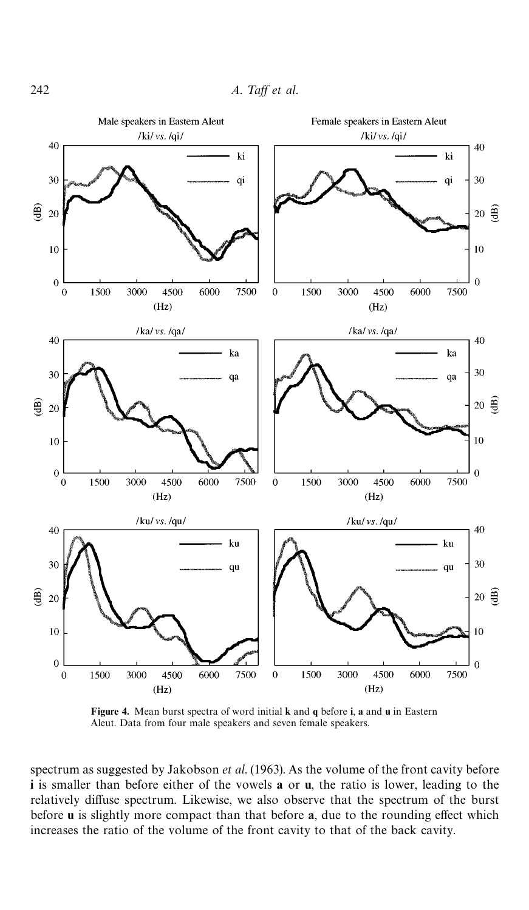

Figure 4. Mean burst spectra of word initial k and q before i, a and u in Eastern Aleut. Data from four male speakers and seven female speakers.

spectrum as suggested by [Jakobson](#page-35-0) *et al*. (1963). As the volume of the front cavity before i is smaller than before either of the vowels a or u, the ratio is lower, leading to the relatively diffuse spectrum. Likewise, we also observe that the spectrum of the burst before  $\bf{u}$  is slightly more compact than that before  $\bf{a}$ , due to the rounding effect which increases the ratio of the volume of the front cavity to that of the back cavity.

<span id="page-11-0"></span>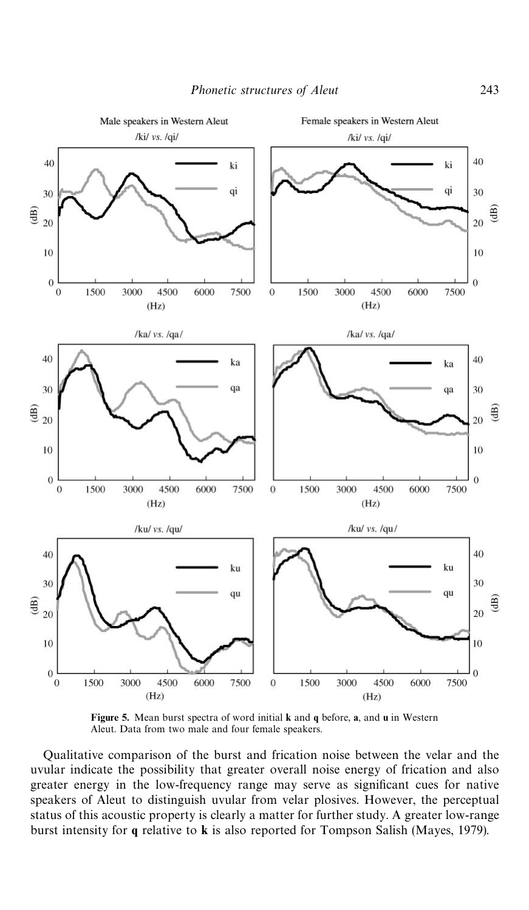<span id="page-12-0"></span>

Figure 5. Mean burst spectra of word initial k and q before, a, and u in Western Aleut. Data from two male and four female speakers.

Qualitative comparison of the burst and frication noise between the velar and the uvular indicate the possibility that greater overall noise energy of frication and also greater energy in the low-frequency range may serve as significant cues for native speakers of Aleut to distinguish uvular from velar plosives. However, the perceptual status of this acoustic property is clearly a matter for further study. A greater low-range burst intensity for q relative to k is also reported for Tompson Salish [\(Mayes, 1979\).](#page-36-0)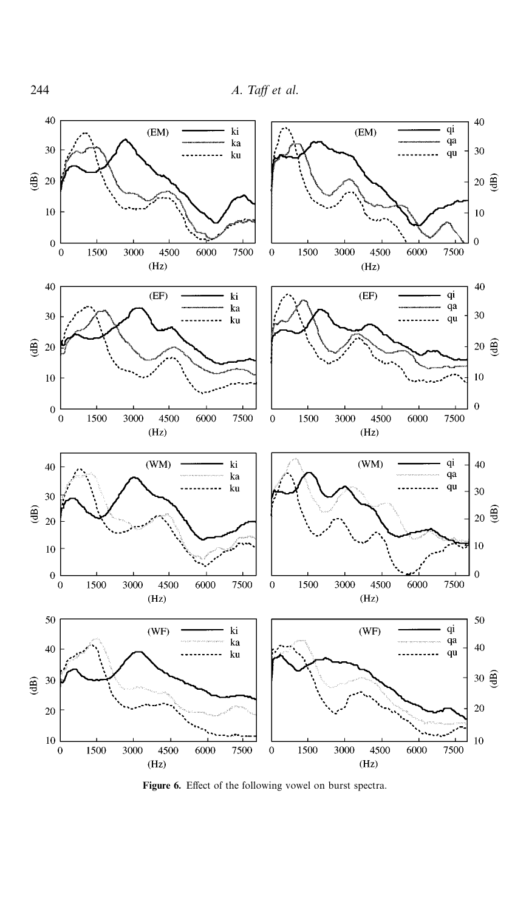

Figure 6. Effect of the following vowel on burst spectra.

<span id="page-13-0"></span>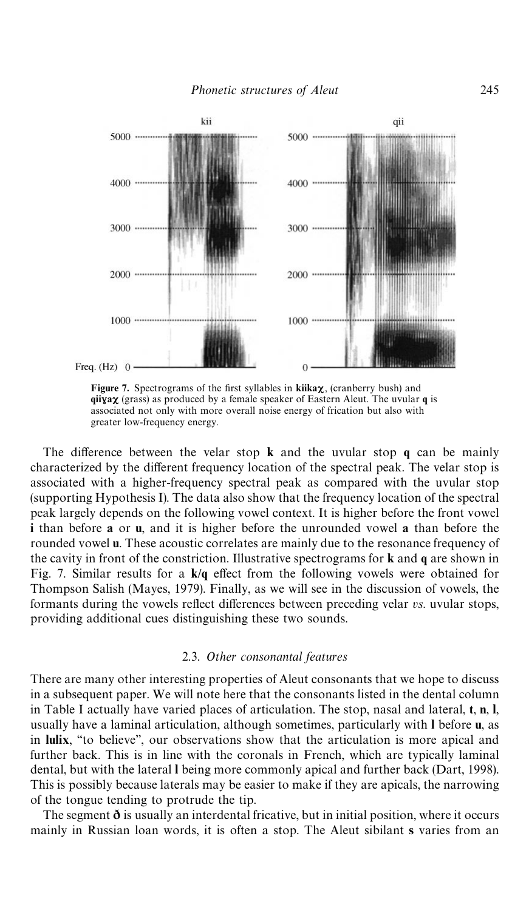

Figure 7. Spectrograms of the first syllables in kiikaχ, (cranberry bush) and  $qiiya\chi$  (grass) as produced by a female speaker of Eastern Aleut. The uvular  $q$  is associated not only with more overall noise energy of frication but also with greater low-frequency energy.

The difference between the velar stop  $\bf{k}$  and the uvular stop  $\bf{q}$  can be mainly characterized by the different frequency location of the spectral peak. The velar stop is associated with a higher-frequency spectral peak as compared with the uvular stop (supporting Hypothesis I). The data also show that the frequency location of the spectral peak largely depends on the following vowel context. It is higher before the front vowel i than before a or u, and it is higher before the unrounded vowel a than before the rounded vowel u. These acoustic correlates are mainly due to the resonance frequency of the cavity in front of the constriction. Illustrative spectrograms for k and q are shown in Fig. 7. Similar results for a k/q effect from the following vowels were obtained for Thompson Salish [\(Mayes, 1979\).](#page-36-0) Finally, as we will see in the discussion of vowels, the formants during the vowels reflect differences between preceding velar *vs*. uvular stops, providing additional cues distinguishing these two sounds.

#### 2.3. *Other consonantal features*

There are many other interesting properties of Aleut consonants that we hope to discuss in a subsequent paper. We will note here that the consonants listed in the dental column in [Table I](#page-3-0) actually have varied places of articulation. The stop, nasal and lateral,  $t$ ,  $n$ ,  $l$ , usually have a laminal articulation, although sometimes, particularly with l before u, as in lulix, "to believe", our observations show that the articulation is more apical and further back. This is in line with the coronals in French, which are typically laminal dental, but with the lateral l being more commonly apical and further back [\(Dart, 1998\)](#page-35-0). This is possibly because laterals may be easier to make if they are apicals, the narrowing of the tongue tending to protrude the tip.

The segment  $\delta$  is usually an interdental fricative, but in initial position, where it occurs mainly in Russian loan words, it is often a stop. The Aleut sibilant s varies from an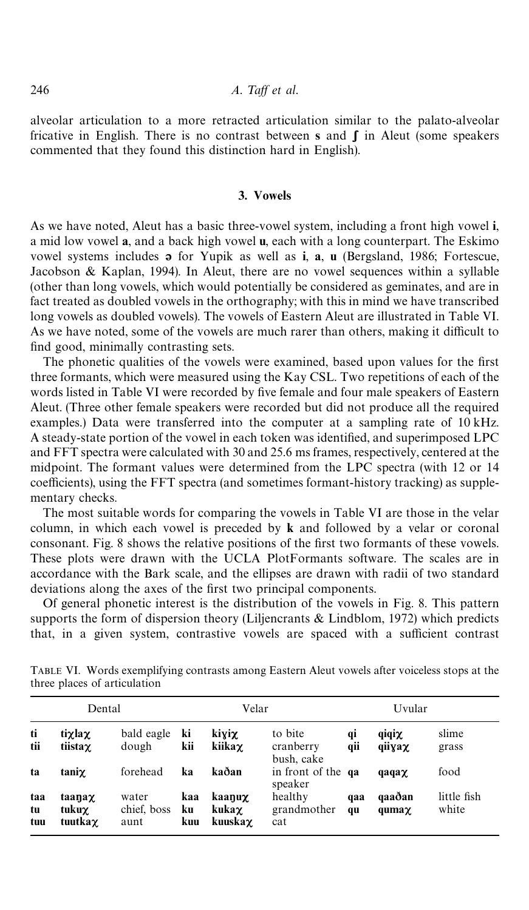## <span id="page-15-0"></span>246 *A*. Taff et al.

alveolar articulation to a more retracted articulation similar to the palato-alveolar fricative in English. There is no contrast between s and  $\int$  in Aleut (some speakers commented that they found this distinction hard in English).

## 3. Vowels

As we have noted, Aleut has a basic three-vowel system, including a front high vowel i, a mid low vowel a, and a back high vowel u, each with a long counterpart. The Eskimo vowel systems includes ə for Yupik as well as i, a, u [\(Bergsland, 1986; Fortescue,](#page-35-0) [Jacobson & Kaplan, 1994\).](#page-35-0) In Aleut, there are no vowel sequences within a syllable (other than long vowels, which would potentially be considered as geminates, and are in fact treated as doubled vowels in the orthography; with this in mind we have transcribed long vowels as doubled vowels). The vowels of Eastern Aleut are illustrated in Table VI. As we have noted, some of the vowels are much rarer than others, making it difficult to find good, minimally contrasting sets.

The phonetic qualities of the vowels were examined, based upon values for the first three formants, which were measured using the Kay CSL. Two repetitions of each of the words listed in Table VI were recorded by five female and four male speakers of Eastern Aleut. (Three other female speakers were recorded but did not produce all the required examples.) Data were transferred into the computer at a sampling rate of 10 kHz. A steady-state portion of the vowel in each token was identified, and superimposed LPC and FFT spectra were calculated with 30 and 25.6 ms frames, respectively, centered at the midpoint. The formant values were determined from the LPC spectra (with 12 or 14 coefficients), using the FFT spectra (and sometimes formant-history tracking) as supplementary checks.

The most suitable words for comparing the vowels in Table VI are those in the velar column, in which each vowel is preceded by k and followed by a velar or coronal consonant[. Fig. 8 s](#page-16-0)hows the relative positions of the first two formants of these vowels. These plots were drawn with the UCLA PlotFormants software. The scales are in accordance with the Bark scale, and the ellipses are drawn with radii of two standard deviations along the axes of the first two principal components.

Of general phonetic interest is the distribution of the vowels in [Fig. 8.](#page-16-0) This pattern supports the form of dispersion theory [\(Liljencrants & Lindblom, 1972\)](#page-35-0) which predicts that, in a given system, contrastive vowels are spaced with a sufficient contrast

|                  | Dental                                       |                              |                  | Velar                      |                                      |           | Uvular                   |                      |
|------------------|----------------------------------------------|------------------------------|------------------|----------------------------|--------------------------------------|-----------|--------------------------|----------------------|
| ti<br>tii        | $t\mathbf{i}\chi\mathbf{la}\chi$<br>tiista χ | bald eagle<br>dough          | ki<br>kii        | kiyix<br>kiikaγ            | to bite<br>cranberry<br>bush, cake   | qi<br>qii | qiqix<br>qiiyax          | slime<br>grass       |
| ta               | $tani\chi$                                   | forehead                     | ka               | kaðan                      | in front of the <b>qa</b><br>speaker |           | $q$ aqa $\chi$           | food                 |
| taa<br>tu<br>tuu | $tana\chi$<br>tukuχ<br>tuutkaγ               | water<br>chief, boss<br>aunt | kaa<br>ku<br>kuu | kaanux<br>kukaγ<br>kuuskaγ | healthy<br>grandmother<br>cat        | qaa<br>qu | qaaðan<br>$q$ uma $\chi$ | little fish<br>white |

TABLE VI. Words exemplifying contrasts among Eastern Aleut vowels after voiceless stops at the three places of articulation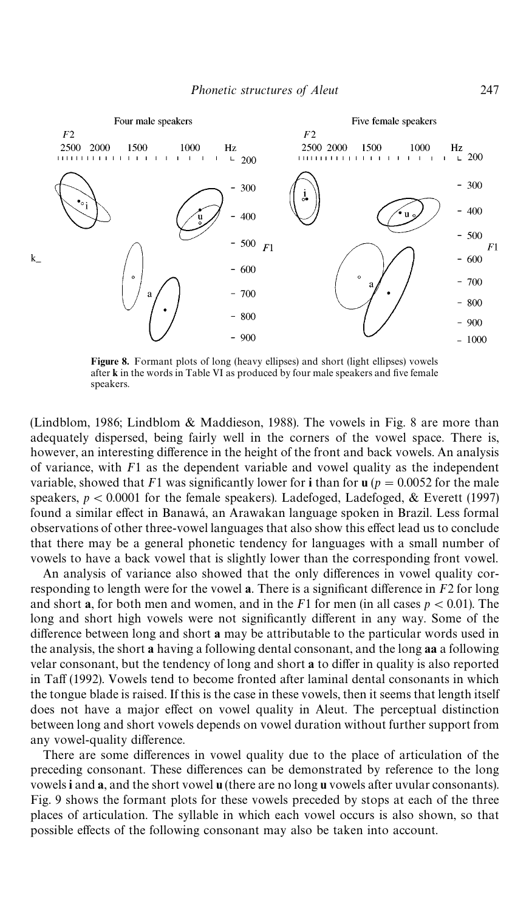<span id="page-16-0"></span>

Figure 8. Formant plots of long (heavy ellipses) and short (light ellipses) vowels after k in the words in [Table VI a](#page-15-0)s produced by four male speakers and five female speakers.

[\(Lindblom, 1986; Lindblom & Maddieson, 1988\)](#page-35-0). The vowels in Fig. 8 are more than adequately dispersed, being fairly well in the corners of the vowel space. There is, however, an interesting difference in the height of the front and back vowels. An analysis of variance, with *F*1 as the dependent variable and vowel quality as the independent variable, showed that *F*1 was significantly lower for **i** than for **u** ( $p = 0.0052$  for the male speakers,  $p < 0.0001$  for the female speakers). [Ladefoged, Ladefoged, & Everett \(1997\)](#page-35-0) found a similar effect in Banawá, an Arawakan language spoken in Brazil. Less formal observations of other three-vowel languages that also show this effect lead us to conclude that there may be a general phonetic tendency for languages with a small number of vowels to have a back vowel that is slightly lower than the corresponding front vowel.

An analysis of variance also showed that the only differences in vowel quality corresponding to length were for the vowel **a**. There is a significant difference in  $F2$  for long and short **a**, for both men and women, and in the  $F1$  for men (in all cases  $p < 0.01$ ). The long and short high vowels were not significantly different in any way. Some of the difference between long and short a may be attributable to the particular words used in the analysis, the short a having a following dental consonant, and the long aa a following velar consonant, but the tendency of long and short **a** to differ in quality is also reported in Taff [\(1992\)](#page-36-0). Vowels tend to become fronted after laminal dental consonants in which the tongue blade is raised. If this is the case in these vowels, then it seems that length itself does not have a major effect on vowel quality in Aleut. The perceptual distinction between long and short vowels depends on vowel duration without further support from any vowel-quality difference.

There are some differences in vowel quality due to the place of articulation of the preceding consonant. These differences can be demonstrated by reference to the long vowelsi and a, and the short vowel u (there are no long u vowels after uvular consonants). [Fig. 9](#page-17-0) shows the formant plots for these vowels preceded by stops at each of the three places of articulation. The syllable in which each vowel occurs is also shown, so that possible effects of the following consonant may also be taken into account.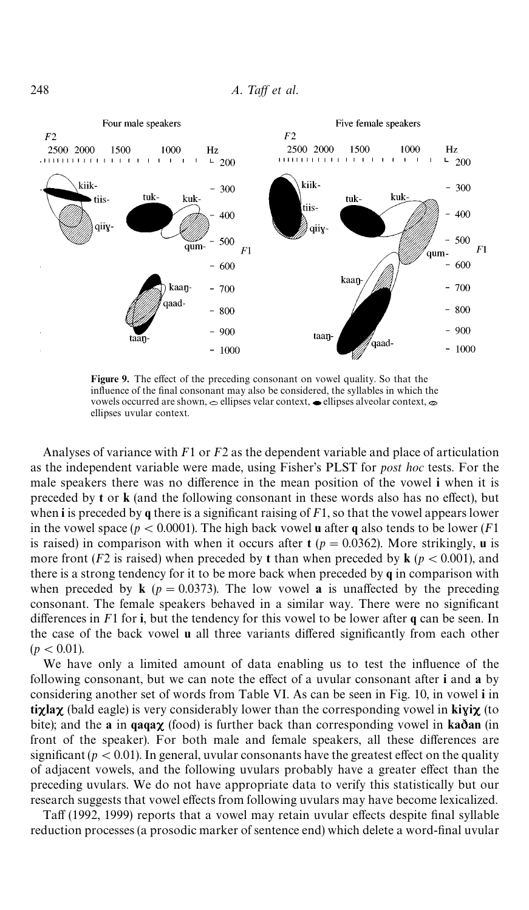<span id="page-17-0"></span>

Figure 9. The effect of the preceding consonant on vowel quality. So that the influence of the final consonant may also be considered, the syllables in which the vowels occurred are shown,  $\circ$  ellipses velar context,  $\bullet$  ellipses alveolar context,  $\circ$ ellipses uvular context.

Analyses of variance with *F*1 or *F*2 as the dependent variable and place of articulation as the independent variable were made, using Fisher's PLST for *post hoc* tests. For the male speakers there was no difference in the mean position of the vowel i when it is preceded by  $t$  or  $k$  (and the following consonant in these words also has no effect), but when i is preceded by  $q$  there is a significant raising of  $F1$ , so that the vowel appears lower in the vowel space ( $p < 0.0001$ ). The high back vowel **u** after **q** also tends to be lower (*F*1 is raised) in comparison with when it occurs after **t** ( $p = 0.0362$ ). More strikingly, **u** is more front (*F*2 is raised) when preceded by **t** than when preceded by **k** ( $p < 0.001$ ), and there is a strong tendency for it to be more back when preceded by  $q$  in comparison with when preceded by **k** ( $p = 0.0373$ ). The low vowel **a** is unaffected by the preceding consonant. The female speakers behaved in a similar way. There were no significant differences in  $F1$  for i, but the tendency for this vowel to be lower after  $q$  can be seen. In the case of the back vowel **u** all three variants differed significantly from each other  $(p < 0.01)$ .

We have only a limited amount of data enabling us to test the influence of the following consonant, but we can note the effect of a uvular consonant after i and a by considering another set of words from Table VI. As can be seen in [Fig. 10,](#page-18-0) in vowel i in  $t_{\mathbf{X}}$  (bald eagle) is very considerably lower than the corresponding vowel in  $\mathbf{k}_{\mathbf{X}}$  (to bite); and the a in qaqaχ (food) is further back than corresponding vowel in kaðan (in front of the speaker). For both male and female speakers, all these differences are significant ( $p < 0.01$ ). In general, uvular consonants have the greatest effect on the quality of adjacent vowels, and the following uvulars probably have a greater effect than the preceding uvulars. We do not have appropriate data to verify this statistically but our research suggests that vowel effects from following uvulars may have become lexicalized.

Taff [\(1992, 1999\)](#page-36-0) reports that a vowel may retain uvular effects despite final syllable reduction processes (a prosodic marker of sentence end) which delete a word-final uvular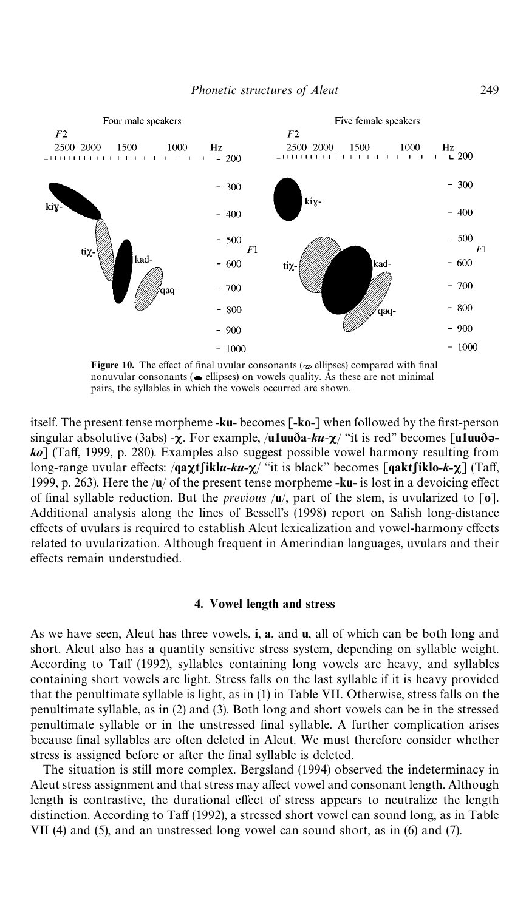<span id="page-18-0"></span>

Figure 10. The effect of final uvular consonants ( $\infty$  ellipses) compared with final nonuvular consonants  $\left( \bullet \right)$  ellipses) on vowels quality. As these are not minimal pairs, the syllables in which the vowels occurred are shown.

itself. The present tense morpheme -ku- becomes [-ko-] when followed by the first-person singular absolutive (3abs) -**χ**. For example, /**u1uuða-***ku***-χ**/ "it is red" becomes [**u1uuðəko**] (Taff[, 1999,](#page-36-0) p. 280). Examples also suggest possible vowel harmony resulting from long-range uvular effects: /qaχtfiklu-ku-χ/ "it is black" becomes [qaktfiklo-k-χ] [\(Ta](#page-36-0)ff, [1999,](#page-36-0) p. 263). Here the  $/u/$  of the present tense morpheme -ku- is lost in a devoicing effect of final syllable reduction. But the *previous*  $|u|$ , part of the stem, is uvularized to [o]. Additional analysis along the lines of Bessell'[s \(1998\)](#page-35-0) report on Salish long-distance effects of uvulars is required to establish Aleut lexicalization and vowel-harmony effects related to uvularization. Although frequent in Amerindian languages, uvulars and their effects remain understudied.

## 4. Vowel length and stress

As we have seen, Aleut has three vowels, i, a, and u, all of which can be both long and short. Aleut also has a quantity sensitive stress system, depending on syllable weight. According to Taff [\(1992\),](#page-36-0) syllables containing long vowels are heavy, and syllables containing short vowels are light. Stress falls on the last syllable if it is heavy provided that the penultimate syllable is light, as in (1) i[n Table VII.](#page-19-0) Otherwise, stress falls on the penultimate syllable, as in (2) and (3). Both long and short vowels can be in the stressed penultimate syllable or in the unstressed final syllable. A further complication arises because final syllables are often deleted in Aleut. We must therefore consider whether stress is assigned before or after the final syllable is deleted.

The situation is still more complex. [Bergsland \(1994\)](#page-35-0) observed the indeterminacy in Aleut stress assignment and that stress may affect vowel and consonant length. Although length is contrastive, the durational effect of stress appears to neutralize the length distinction. According to Taff  $(1992)$ , a stressed short vowel can sound long, as in [Table](#page-19-0) [VII](#page-19-0) (4) and (5), and an unstressed long vowel can sound short, as in (6) and (7).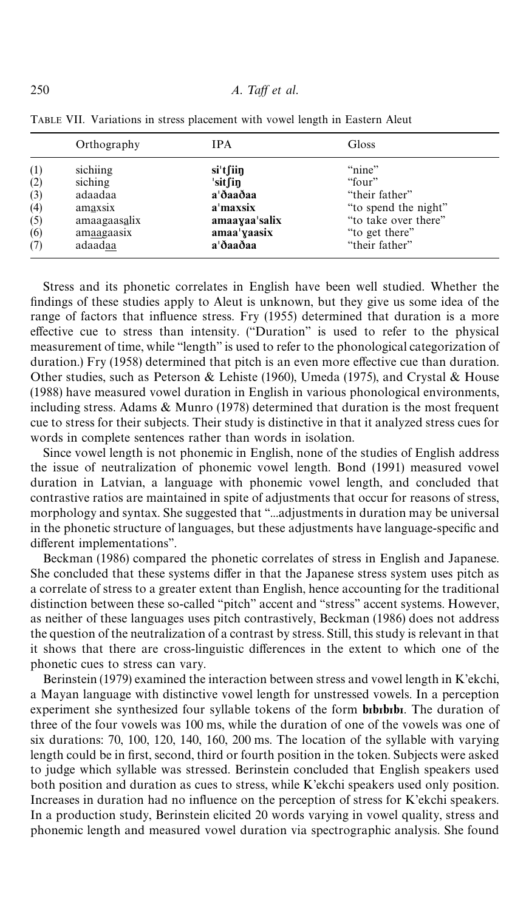|     | Orthography  | <b>IPA</b>            | Gloss                |
|-----|--------------|-----------------------|----------------------|
| (1) | sichiing     | $\sin$ t fiin         | "nine"               |
| (2) | siching      | $'\s{s}$ it $\int$ in | "four"               |
| (3) | adaadaa      | a'ðaaðaa              | "their father"       |
| (4) | amaxsix      | a'maxsix              | "to spend the night" |
| (5) | amaagaasalix | amaayaa'salix         | "to take over there" |
| (6) | amaagaasix   | amaa'yaasix           | "to get there"       |
| (7) | adaadaa      | a'ðaaðaa              | "their father"       |

<span id="page-19-0"></span>TABLE VII. Variations in stress placement with vowel length in Eastern Aleut

Stress and its phonetic correlates in English have been well studied. Whether the findings of these studies apply to Aleut is unknown, but they give us some idea of the range of factors that influence stress. [Fry \(1955\)](#page-35-0) determined that duration is a more effective cue to stress than intensity. ("Duration" is used to refer to the physical measurement of time, while "length" is used to refer to the phonological categorization of duration.) [Fry \(1958\)](#page-35-0) determined that pitch is an even more effective cue than duration. Other studies, such as [Peterson & Lehiste \(1960\), Umeda \(1975\)](#page-36-0), and [Crystal & House](#page-35-0) [\(1988\)](#page-35-0) have measured vowel duration in English in various phonological environments, including stress. [Adams & Munro \(1978\)](#page-35-0) determined that duration is the most frequent cue to stress for their subjects. Their study is distinctive in that it analyzed stress cues for words in complete sentences rather than words in isolation.

Since vowel length is not phonemic in English, none of the studies of English address the issue of neutralization of phonemic vowel length. [Bond \(1991\)](#page-35-0) measured vowel duration in Latvian, a language with phonemic vowel length, and concluded that contrastive ratios are maintained in spite of adjustments that occur for reasons of stress, morphology and syntax. She suggested that "...adjustments in duration may be universal in the phonetic structure of languages, but these adjustments have language-specific and different implementations".

[Beckman \(1986\)](#page-35-0) compared the phonetic correlates of stress in English and Japanese. She concluded that these systems differ in that the Japanese stress system uses pitch as a correlate of stress to a greater extent than English, hence accounting for the traditional distinction between these so-called "pitch" accent and "stress" accent systems. However, as neither of these languages uses pitch contrastively, [Beckman \(1986\)](#page-35-0) does not address the question of the neutralization of a contrast by stress. Still, this study is relevant in that it shows that there are cross-linguistic differences in the extent to which one of the phonetic cues to stress can vary.

[Berinstein \(1979\)](#page-35-0) examined the interaction between stress and vowel length in K'ekchi, a Mayan language with distinctive vowel length for unstressed vowels. In a perception experiment she synthesized four syllable tokens of the form **bibibibi**. The duration of three of the four vowels was 100 ms, while the duration of one of the vowels was one of six durations: 70, 100, 120, 140, 160, 200 ms. The location of the syllable with varying length could be in first, second, third or fourth position in the token. Subjects were asked to judge which syllable was stressed. Berinstein concluded that English speakers used both position and duration as cues to stress, while K'ekchi speakers used only position. Increases in duration had no influence on the perception of stress for K'ekchi speakers. In a production study, Berinstein elicited 20 words varying in vowel quality, stress and phonemic length and measured vowel duration via spectrographic analysis. She found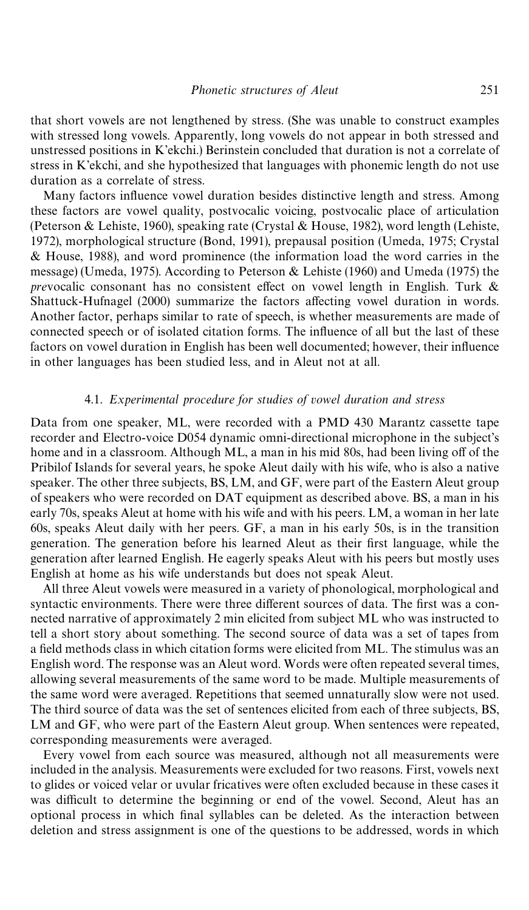that short vowels are not lengthened by stress. (She was unable to construct examples with stressed long vowels. Apparently, long vowels do not appear in both stressed and unstressed positions in K'ekchi.) Berinstein concluded that duration is not a correlate of stress in K'ekchi, and she hypothesized that languages with phonemic length do not use duration as a correlate of stress.

Many factors influence vowel duration besides distinctive length and stress. Among these factors are vowel quality, postvocalic voicing, postvocalic place of articulation [\(Peterson & Lehiste, 1960\),](#page-36-0) speaking rate [\(Crystal & House, 1982\),](#page-35-0) word length [\(Lehiste,](#page-35-0) [1972\),](#page-35-0) morphological structure [\(Bond, 1991\),](#page-35-0) prepausal position [\(Umeda, 1975;](#page-36-0) [Crystal](#page-35-0) [& House, 1988\),](#page-35-0) and word prominence (the information load the word carries in the message) [\(Umeda, 1975\)](#page-36-0). According to [Peterson & Lehiste \(1960\)](#page-36-0) and [Umeda \(1975\)](#page-36-0) the *pre*vocalic consonant has no consistent effect on vowel length in English. [Turk &](#page-36-0) [Shattuck-Hufnagel \(2000\)](#page-36-0) summarize the factors affecting vowel duration in words. Another factor, perhaps similar to rate of speech, is whether measurements are made of connected speech or of isolated citation forms. The influence of all but the last of these factors on vowel duration in English has been well documented; however, their influence in other languages has been studied less, and in Aleut not at all.

## 4.1. *Experimental procedure for studies of vowel duration and stress*

Data from one speaker, ML, were recorded with a PMD 430 Marantz cassette tape recorder and Electro-voice D054 dynamic omni-directional microphone in the subject's home and in a classroom. Although ML, a man in his mid 80s, had been living off of the Pribilof Islands for several years, he spoke Aleut daily with his wife, who is also a native speaker. The other three subjects, BS, LM, and GF, were part of the Eastern Aleut group of speakers who were recorded on DAT equipment as described above. BS, a man in his early 70s, speaks Aleut at home with his wife and with his peers. LM, a woman in her late 60s, speaks Aleut daily with her peers. GF, a man in his early 50s, is in the transition generation. The generation before his learned Aleut as their first language, while the generation after learned English. He eagerly speaks Aleut with his peers but mostly uses English at home as his wife understands but does not speak Aleut.

All three Aleut vowels were measured in a variety of phonological, morphological and syntactic environments. There were three different sources of data. The first was a connected narrative of approximately 2 min elicited from subject ML who was instructed to tell a short story about something. The second source of data was a set of tapes from a field methods class in which citation forms were elicited from ML. The stimulus was an English word. The response was an Aleut word. Words were often repeated several times, allowing several measurements of the same word to be made. Multiple measurements of the same word were averaged. Repetitions that seemed unnaturally slow were not used. The third source of data was the set of sentences elicited from each of three subjects, BS, LM and GF, who were part of the Eastern Aleut group. When sentences were repeated, corresponding measurements were averaged.

Every vowel from each source was measured, although not all measurements were included in the analysis. Measurements were excluded for two reasons. First, vowels next to glides or voiced velar or uvular fricatives were often excluded because in these cases it was difficult to determine the beginning or end of the vowel. Second, Aleut has an optional process in which final syllables can be deleted. As the interaction between deletion and stress assignment is one of the questions to be addressed, words in which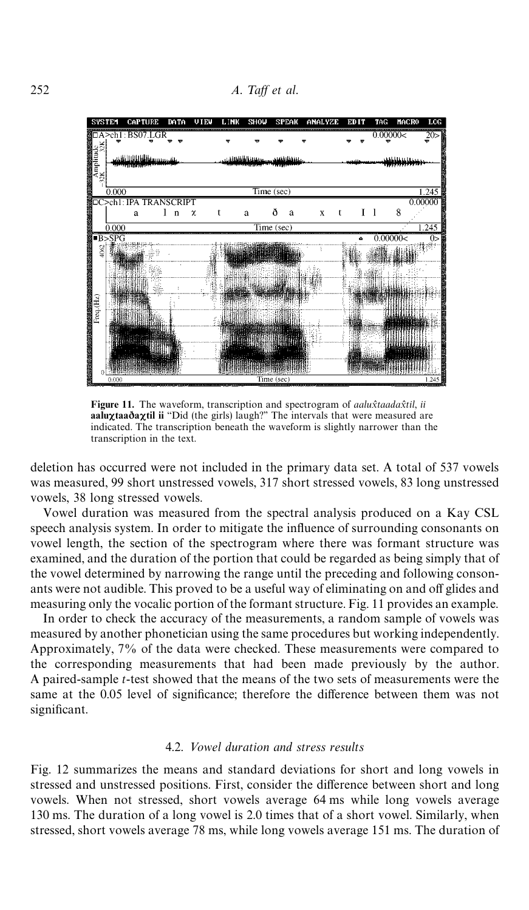252 *A. Taff et al.* 



Figure 11. The waveform, transcription and spectrogram of *aaluxtaadaxtil*, *ii* aaluxtaaðaxtil ii "Did (the girls) laugh?" The intervals that were measured are indicated. The transcription beneath the waveform is slightly narrower than the transcription in the text.

deletion has occurred were not included in the primary data set. A total of 537 vowels was measured, 99 short unstressed vowels, 317 short stressed vowels, 83 long unstressed vowels, 38 long stressed vowels.

Vowel duration was measured from the spectral analysis produced on a Kay CSL speech analysis system. In order to mitigate the influence of surrounding consonants on vowel length, the section of the spectrogram where there was formant structure was examined, and the duration of the portion that could be regarded as being simply that of the vowel determined by narrowing the range until the preceding and following consonants were not audible. This proved to be a useful way of eliminating on and off glides and measuring only the vocalic portion of the formant structure. Fig. 11 provides an example.

In order to check the accuracy of the measurements, a random sample of vowels was measured by another phonetician using the same procedures but working independently. Approximately, 7% of the data were checked. These measurements were compared to the corresponding measurements that had been made previously by the author. A paired-sample *t*-test showed that the means of the two sets of measurements were the same at the 0.05 level of significance; therefore the difference between them was not significant.

### 4.2. *Vowel duration and stress results*

[Fig. 12](#page-22-0) summarizes the means and standard deviations for short and long vowels in stressed and unstressed positions. First, consider the difference between short and long vowels. When not stressed, short vowels average 64 ms while long vowels average 130 ms. The duration of a long vowel is 2.0 times that of a short vowel. Similarly, when stressed, short vowels average 78 ms, while long vowels average 151 ms. The duration of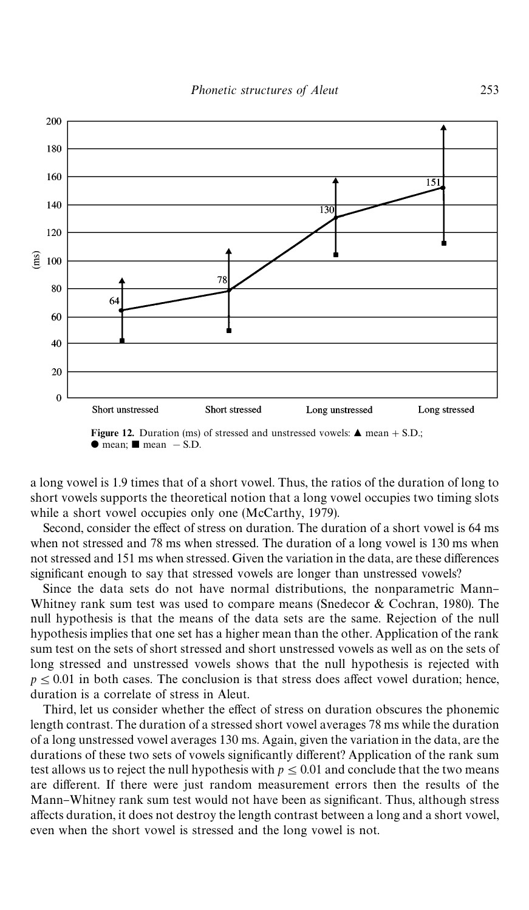<span id="page-22-0"></span>

Figure 12. Duration (ms) of stressed and unstressed vowels:  $\triangle$  mean + S.D.;  $\bullet$  mean;  $\blacksquare$  mean  $-S.D.$ 

a long vowel is 1.9 times that of a short vowel. Thus, the ratios of the duration of long to short vowels supports the theoretical notion that a long vowel occupies two timing slots while a short vowel occupies only one [\(McCarthy, 1979\).](#page-36-0)

Second, consider the effect of stress on duration. The duration of a short vowel is 64 ms when not stressed and 78 ms when stressed. The duration of a long vowel is 130 ms when not stressed and 151 ms when stressed. Given the variation in the data, are these differences significant enough to say that stressed vowels are longer than unstressed vowels?

Since the data sets do not have normal distributions, the nonparametric Mann– Whitney rank sum test was used to compare means [\(Snedecor & Cochran, 1980\).](#page-36-0) The null hypothesis is that the means of the data sets are the same. Rejection of the null hypothesis implies that one set has a higher mean than the other. Application of the rank sum test on the sets of short stressed and short unstressed vowels as well as on the sets of long stressed and unstressed vowels shows that the null hypothesis is rejected with  $p \leq 0.01$  in both cases. The conclusion is that stress does affect vowel duration; hence, duration is a correlate of stress in Aleut.

Third, let us consider whether the effect of stress on duration obscures the phonemic length contrast. The duration of a stressed short vowel averages 78 ms while the duration of a long unstressed vowel averages 130 ms. Again, given the variation in the data, are the durations of these two sets of vowels significantly different? Application of the rank sum test allows us to reject the null hypothesis with  $p \leq 0.01$  and conclude that the two means are different. If there were just random measurement errors then the results of the Mann–Whitney rank sum test would not have been as significant. Thus, although stress affects duration, it does not destroy the length contrast between a long and a short vowel, even when the short vowel is stressed and the long vowel is not.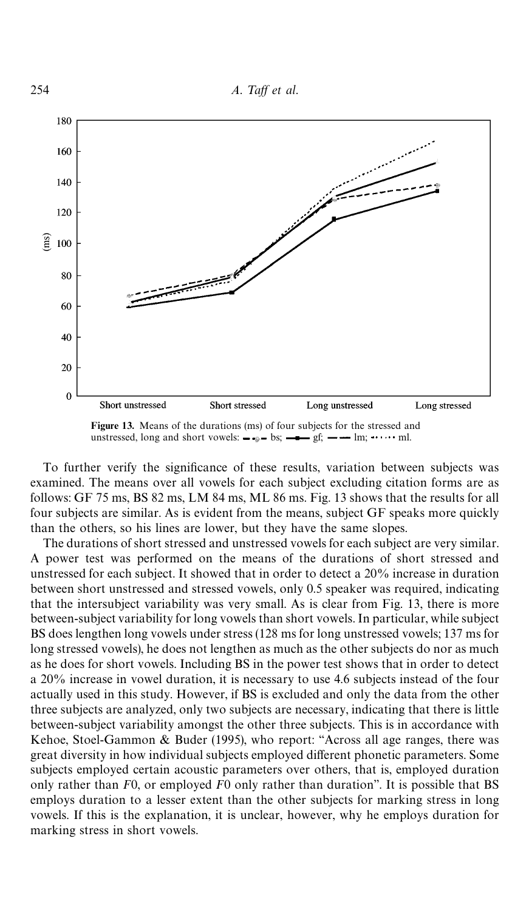254 *A. Taff et al.* 



Figure 13. Means of the durations (ms) of four subjects for the stressed and unstressed, long and short vowels:  $\rightarrow \bullet$  bs;  $\rightarrow$  gf;  $\rightarrow$  m m;  $\cdots$  ml.

To further verify the significance of these results, variation between subjects was examined. The means over all vowels for each subject excluding citation forms are as follows: GF 75 ms, BS 82 ms, LM 84 ms, ML 86 ms. Fig. 13 shows that the results for all four subjects are similar. As is evident from the means, subject GF speaks more quickly than the others, so his lines are lower, but they have the same slopes.

The durations of short stressed and unstressed vowels for each subject are very similar. A power test was performed on the means of the durations of short stressed and unstressed for each subject. It showed that in order to detect a 20% increase in duration between short unstressed and stressed vowels, only 0.5 speaker was required, indicating that the intersubject variability was very small. As is clear from Fig. 13, there is more between-subject variability for long vowels than short vowels. In particular, while subject BS does lengthen long vowels under stress (128 ms for long unstressed vowels; 137 ms for long stressed vowels), he does not lengthen as much as the other subjects do nor as much as he does for short vowels. Including BS in the power test shows that in order to detect a 20% increase in vowel duration, it is necessary to use 4.6 subjects instead of the four actually used in this study. However, if BS is excluded and only the data from the other three subjects are analyzed, only two subjects are necessary, indicating that there is little between-subject variability amongst the other three subjects. This is in accordance with [Kehoe, Stoel-Gammon & Buder \(1995\),](#page-35-0) who report: "Across all age ranges, there was great diversity in how individual subjects employed different phonetic parameters. Some subjects employed certain acoustic parameters over others, that is, employed duration only rather than *F*0, or employed *F*0 only rather than duration''. It is possible that BS employs duration to a lesser extent than the other subjects for marking stress in long vowels. If this is the explanation, it is unclear, however, why he employs duration for marking stress in short vowels.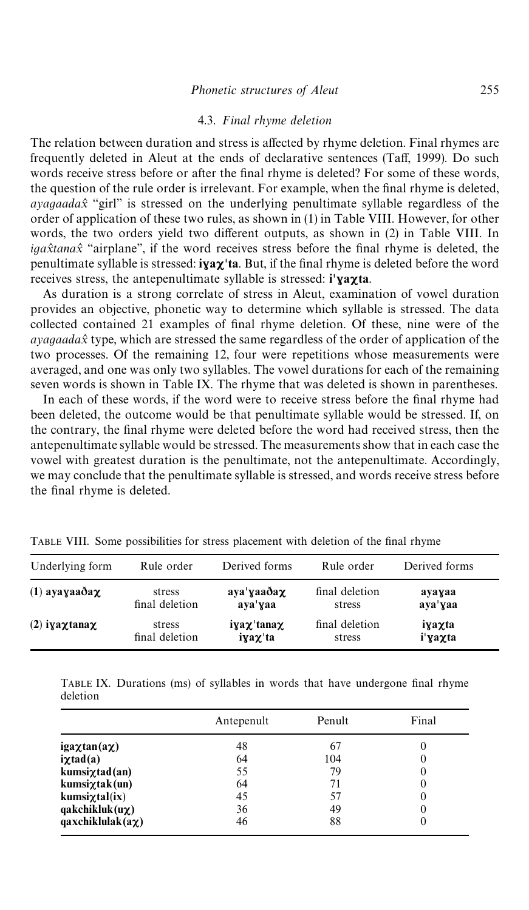## 4.3. *Final rhyme deletion*

The relation between duration and stress is affected by rhyme deletion. Final rhymes are frequently deleted in Aleut at the ends of declarative sentences (Taff[, 1999\).](#page-36-0) Do such words receive stress before or after the final rhyme is deleted? For some of these words, the question of the rule order is irrelevant. For example, when the final rhyme is deleted,  $ayaqada\hat{x}$  "girl" is stressed on the underlying penultimate syllable regardless of the order of application of these two rules, as shown in (1) in Table VIII. However, for other words, the two orders yield two different outputs, as shown in (2) in Table VIII. In *igaxtanax* "airplane", if the word receives stress before the final rhyme is deleted, the penultimate syllable is stressed:  $i\mathbf{y}a\mathbf{x}'t\mathbf{a}$ . But, if the final rhyme is deleted before the word receives stress, the antepenultimate syllable is stressed:  $i'yazta$ .

As duration is a strong correlate of stress in Aleut, examination of vowel duration provides an objective, phonetic way to determine which syllable is stressed. The data collected contained 21 examples of final rhyme deletion. Of these, nine were of the *ayagaadax* type, which are stressed the same regardless of the order of application of the two processes. Of the remaining 12, four were repetitions whose measurements were averaged, and one was only two syllables. The vowel durations for each of the remaining seven words is shown in Table IX. The rhyme that was deleted is shown in parentheses.

In each of these words, if the word were to receive stress before the final rhyme had been deleted, the outcome would be that penultimate syllable would be stressed. If, on the contrary, the final rhyme were deleted before the word had received stress, then the antepenultimate syllable would be stressed. The measurements show that in each case the vowel with greatest duration is the penultimate, not the antepenultimate. Accordingly, we may conclude that the penultimate syllable is stressed, and words receive stress before the final rhyme is deleted.

| Underlying form       | Rule order               | Derived forms                         | Rule order               | Derived forms     |  |
|-----------------------|--------------------------|---------------------------------------|--------------------------|-------------------|--|
| $(1)$ ayayaaða $\chi$ | stress<br>final deletion | $aya'yaa\delta a\chi$<br>aya'yaa      | final deletion<br>stress | ayayaa<br>aya'yaa |  |
| (2) iya χtana χ       | stress<br>final deletion | iya χ'tana χ<br>$i\gamma a\gamma'$ ta | final deletion<br>stress | iyaχta<br>i'yaxta |  |

TABLE VIII. Some possibilities for stress placement with deletion of the final rhyme

TABLE IX. Durations (ms) of syllables in words that have undergone final rhyme deletion

|                       | Antepenult | Penult | Final            |
|-----------------------|------------|--------|------------------|
| $igaytan(a\chi)$      | 48         | 67     |                  |
| $i\chi$ tad $(a)$     | 64         | 104    |                  |
| kumsixtad(an)         | 55         | 79     |                  |
| $kumsi\chi$ tak(un)   | 64         | 71     |                  |
| kumsixtal(ix)         | 45         | 57     | $\left( \right)$ |
| $qakchikluk(u\chi)$   | 36         | 49     |                  |
| $qaxchiklulak(a\chi)$ | 46         | 88     |                  |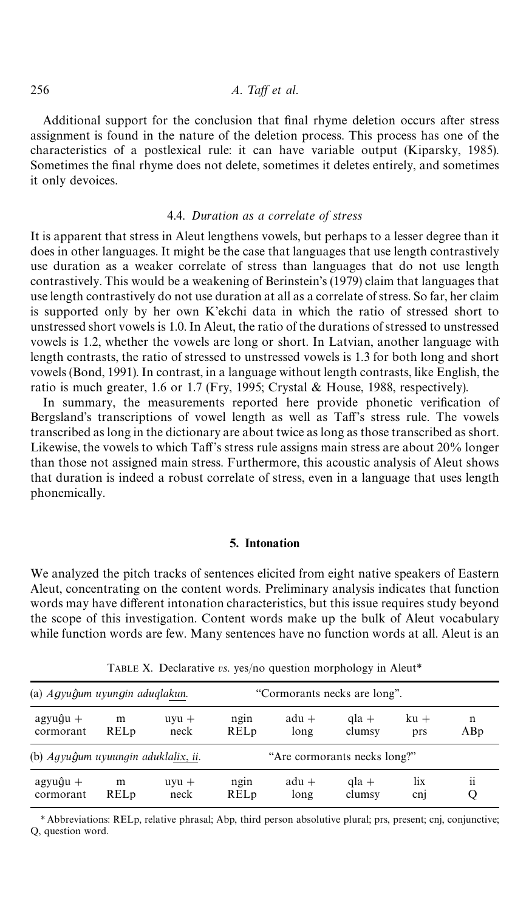## <span id="page-25-0"></span>256 *A*. Taff et al.

Additional support for the conclusion that final rhyme deletion occurs after stress assignment is found in the nature of the deletion process. This process has one of the characteristics of a postlexical rule: it can have variable output [\(Kiparsky, 1985\)](#page-35-0). Sometimes the final rhyme does not delete, sometimes it deletes entirely, and sometimes it only devoices.

## 4.4. *Duration as a correlate of stress*

It is apparent that stress in Aleut lengthens vowels, but perhaps to a lesser degree than it does in other languages. It might be the case that languages that use length contrastively use duration as a weaker correlate of stress than languages that do not use length contrastively. This would be a weakening of [Berinstein](#page-35-0)'s (1979) claim that languages that use length contrastively do not use duration at all as a correlate of stress. So far, her claim is supported only by her own K'ekchi data in which the ratio of stressed short to unstressed short vowels is 1.0. In Aleut, the ratio of the durations of stressed to unstressed vowels is 1.2, whether the vowels are long or short. In Latvian, another language with length contrasts, the ratio of stressed to unstressed vowels is 1.3 for both long and short vowels [\(Bond, 1991\).](#page-35-0) In contrast, in a language without length contrasts, like English, the ratio is much greater, 1.6 or 1.7 [\(Fry, 1995; Crystal & House, 1988,](#page-35-0) respectively).

In summary, the measurements reported here provide phonetic verification of Bergsland's transcriptions of vowel length as well as Taff's stress rule. The vowels transcribed as long in the dictionary are about twice as long as those transcribed as short. Likewise, the vowels to which Taff's stress rule assigns main stress are about  $20\%$  longer than those not assigned main stress. Furthermore, this acoustic analysis of Aleut shows that duration is indeed a robust correlate of stress, even in a language that uses length phonemically.

#### 5. Intonation

We analyzed the pitch tracks of sentences elicited from eight native speakers of Eastern Aleut, concentrating on the content words. Preliminary analysis indicates that function words may have different intonation characteristics, but this issue requires study beyond the scope of this investigation. Content words make up the bulk of Aleut vocabulary while function words are few. Many sentences have no function words at all. Aleut is an

| (a) Agyuĝum uyungin aduqlakun.      |                  |         | "Cormorants necks are long". |         |                              |                 |     |
|-------------------------------------|------------------|---------|------------------------------|---------|------------------------------|-----------------|-----|
| $\alpha$ gyuĝu +                    | m                | $uyu +$ | ngin                         | $adu +$ | $qla +$                      | $ku +$          | n   |
| cormorant                           | REL <sub>p</sub> | neck    | REL <sub>p</sub>             | long    | clumsy                       | prs             | ABp |
| (b) Agyuĝum uyuungin aduklalix, ii. |                  |         |                              |         | "Are cormorants necks long?" |                 |     |
| $\frac{agyu\hat{g}u +$              | m                | $uyu +$ | ngin                         | $adu +$ | $qla +$                      | lix             | ij  |
| cormorant                           | REL <sub>p</sub> | neck    | REL <sub>p</sub>             | long    | clumsy                       | cn <sub>1</sub> | О   |

TABLE X. Declarative *vs*. yes/no question morphology in Aleut*\**

*\** Abbreviations: RELp, relative phrasal; Abp, third person absolutive plural; prs, present; cnj, conjunctive; Q, question word.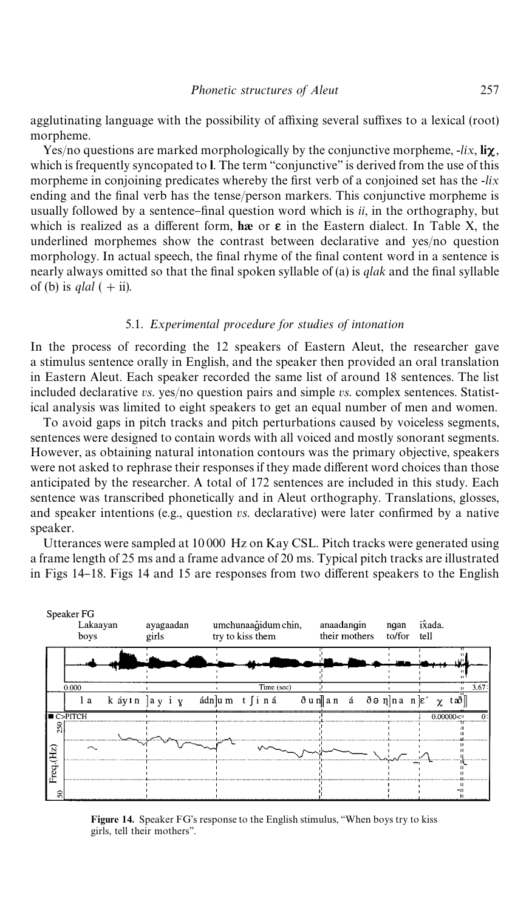<span id="page-26-0"></span>agglutinating language with the possibility of affixing several suffixes to a lexical (root) morpheme.

Yes/no questions are marked morphologically by the conjunctive morpheme, -*lix*, liχ, which is frequently syncopated to  $\bf{l}$ . The term "conjunctive" is derived from the use of this morpheme in conjoining predicates whereby the first verb of a conjoined set has the -*lix* ending and the final verb has the tense/person markers. This conjunctive morpheme is usually followed by a sentence-final question word which is *ii*, in the orthography, but which is realized as a different form, has or  $\varepsilon$  in the Eastern dialect. In [Table X,](#page-25-0) the underlined morphemes show the contrast between declarative and yes/no question morphology. In actual speech, the final rhyme of the final content word in a sentence is nearly always omitted so that the final spoken syllable of (a) is *qlak* and the final syllable of (b) is  $\eta$ *lal* ( + ii).

### 5.1. *Experimental procedure for studies of intonation*

In the process of recording the 12 speakers of Eastern Aleut, the researcher gave a stimulus sentence orally in English, and the speaker then provided an oral translation in Eastern Aleut. Each speaker recorded the same list of around 18 sentences. The list included declarative *vs*. yes/no question pairs and simple *vs*. complex sentences. Statistical analysis was limited to eight speakers to get an equal number of men and women.

To avoid gaps in pitch tracks and pitch perturbations caused by voiceless segments, sentences were designed to contain words with all voiced and mostly sonorant segments. However, as obtaining natural intonation contours was the primary objective, speakers were not asked to rephrase their responses if they made different word choices than those anticipated by the researcher. A total of 172 sentences are included in this study. Each sentence was transcribed phonetically and in Aleut orthography. Translations, glosses, and speaker intentions (e.g., question *vs*. declarative) were later confirmed by a native speaker.

Utterances were sampled at 10000 Hz on Kay CSL. Pitch tracks were generated using a frame length of 25 ms and a frame advance of 20 ms. Typical pitch tracks are illustrated in Figs  $14-18$ . Figs 14 and [15](#page-27-0) are responses from two different speakers to the English



Figure 14. Speaker FG's response to the English stimulus, "When boys try to kiss girls, tell their mothers''.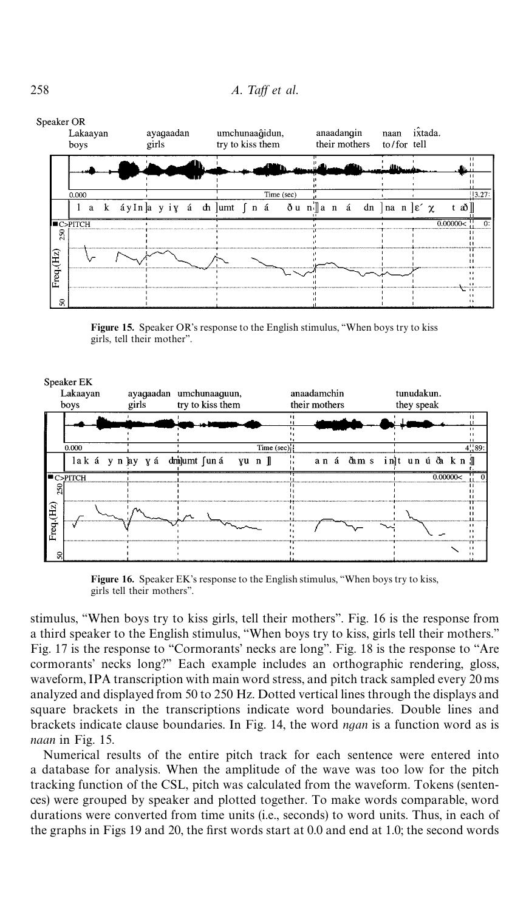<span id="page-27-0"></span>

Figure 15. Speaker OR's response to the English stimulus, "When boys try to kiss girls, tell their mother''.



Figure 16. Speaker EK's response to the English stimulus, "When boys try to kiss, girls tell their mothers''.

stimulus, "When boys try to kiss girls, tell their mothers". Fig. 16 is the response from a third speaker to the English stimulus, "When boys try to kiss, girls tell their mothers." [Fig. 17](#page-28-0) is the response to "Cormorants' necks are long". [Fig. 18](#page-28-0) is the response to "Are cormorants' necks long?'' Each example includes an orthographic rendering, gloss, waveform, IPA transcription with main word stress, and pitch track sampled every 20ms analyzed and displayed from 50 to 250 Hz. Dotted vertical lines through the displays and square brackets in the transcriptions indicate word boundaries. Double lines and brackets indicate clause boundaries. In [Fig. 14,](#page-26-0) the word *ngan* is a function word as is *naan* in Fig. 15.

Numerical results of the entire pitch track for each sentence were entered into a database for analysis. When the amplitude of the wave was too low for the pitch tracking function of the CSL, pitch was calculated from the waveform. Tokens (sentences) were grouped by speaker and plotted together. To make words comparable, word durations were converted from time units (i.e., seconds) to word units. Thus, in each of the graphs in [Figs 19](#page-29-0) and [20,](#page-30-0) the first words start at  $0.0$  and end at 1.0; the second words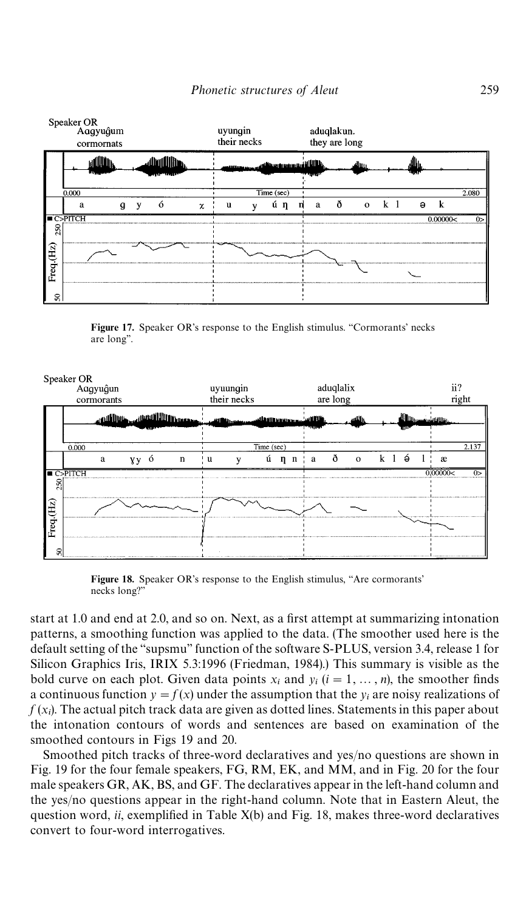<span id="page-28-0"></span>

Figure 17. Speaker OR's response to the English stimulus. "Cormorants' necks are long''.



Figure 18. Speaker OR's response to the English stimulus, "Are cormorants' necks long?''

start at 1.0 and end at 2.0, and so on. Next, as a first attempt at summarizing intonation patterns, a smoothing function was applied to the data. (The smoother used here is the default setting of the "supsmu" function of the software S-PLUS, version 3.4, release 1 for Silicon Graphics Iris, IRIX 5.3:1996 [\(Friedman, 1984\).](#page-35-0)) This summary is visible as the bold curve on each plot. Given data points  $x_i$  and  $y_i$  ( $i = 1, \ldots, n$ ), the smoother finds a continuous function  $y = f(x)$  under the assumption that the  $y_i$  are noisy realizations of  $f(x_i)$ . The actual pitch track data are given as dotted lines. Statements in this paper about the intonation contours of words and sentences are based on examination of the smoothed contours in [Figs 19](#page-29-0) and [20.](#page-30-0)

Smoothed pitch tracks of three-word declaratives and yes/no questions are shown in [Fig. 19](#page-29-0) for the four female speakers, FG, RM, EK, and MM, and in [Fig. 20](#page-30-0) for the four male speakers GR, AK, BS, and GF. The declaratives appear in the left-hand column and the yes/no questions appear in the right-hand column. Note that in Eastern Aleut, the question word, *ii*, exemplified in Table  $X(b)$  and Fig. 18, makes three-word declaratives convert to four-word interrogatives.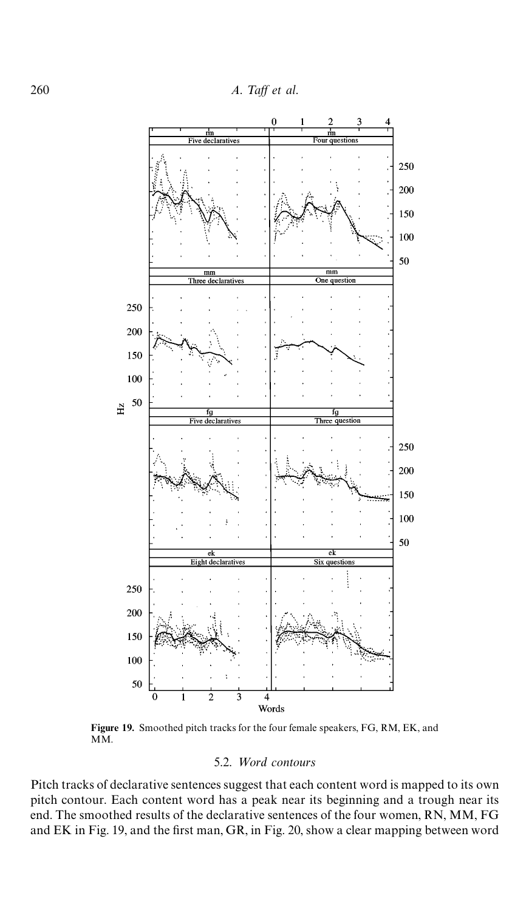<span id="page-29-0"></span>

Figure 19. Smoothed pitch tracks for the four female speakers, FG, RM, EK, and MM.

## 5.2. Word contours

Pitch tracks of declarative sentences suggest that each content word is mapped to its own pitch contour. Each content word has a peak near its beginning and a trough near its end. The smoothed results of the declarative sentences of the four women, RN, MM, FG and EK in Fig. 19, and the first man, GR, in [Fig. 20,](#page-30-0) show a clear mapping between word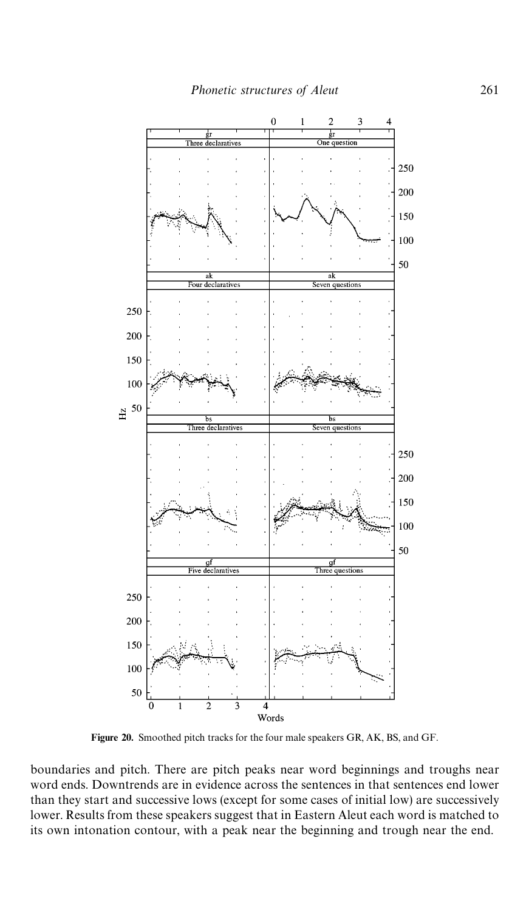<span id="page-30-0"></span>

Figure 20. Smoothed pitch tracks for the four male speakers GR, AK, BS, and GF.

boundaries and pitch. There are pitch peaks near word beginnings and troughs near word ends. Downtrends are in evidence across the sentences in that sentences end lower than they start and successive lows (except for some cases of initial low) are successively lower. Results from these speakers suggest that in Eastern Aleut each word is matched to its own intonation contour, with a peak near the beginning and trough near the end.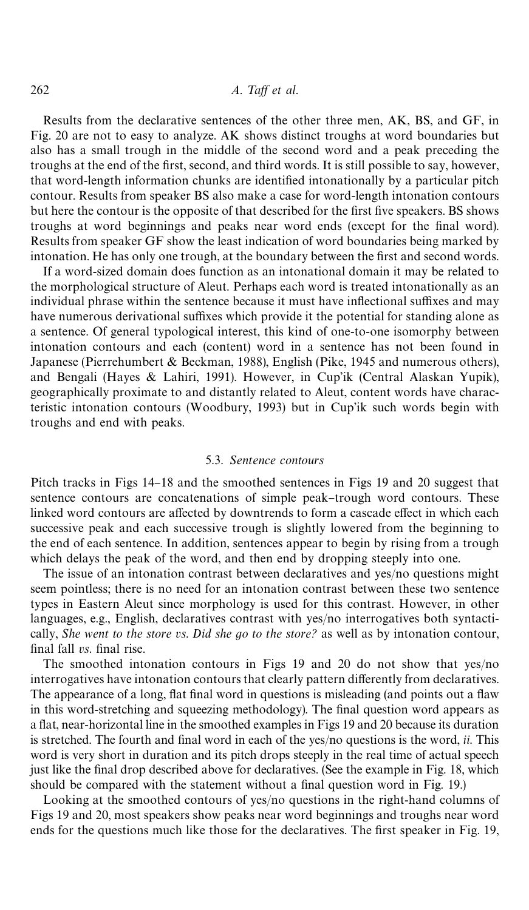Results from the declarative sentences of the other three men, AK, BS, and GF, in Fig. 20 are not to easy to analyze. AK shows distinct troughs at word boundaries but also has a small trough in the middle of the second word and a peak preceding the troughs at the end of the first, second, and third words. It is still possible to say, however, that word-length information chunks are identified intonationally by a particular pitch contour. Results from speaker BS also make a case for word-length intonation contours but here the contour is the opposite of that described for the first five speakers. BS shows troughs at word beginnings and peaks near word ends (except for the final word). Results from speaker GF show the least indication of word boundaries being marked by intonation. He has only one trough, at the boundary between the first and second words.

If a word-sized domain does function as an intonational domain it may be related to the morphological structure of Aleut. Perhaps each word is treated intonationally as an individual phrase within the sentence because it must have inflectional suffixes and may have numerous derivational suffixes which provide it the potential for standing alone as a sentence. Of general typological interest, this kind of one-to-one isomorphy between intonation contours and each (content) word in a sentence has not been found in Japanese [\(Pierrehumbert & Beckman, 1988\),](#page-36-0) English [\(Pike, 1945](#page-36-0) and numerous others), and Bengali [\(Hayes & Lahiri, 1991\).](#page-35-0) However, in Cup'ik (Central Alaskan Yupik), geographically proximate to and distantly related to Aleut, content words have characteristic intonation contours [\(Woodbury, 1993\)](#page-36-0) but in Cup'ik such words begin with troughs and end with peaks.

## 5.3. *Sentence contours*

Pitch tracks in [Figs 14](#page-26-0)–[18](#page-28-0) and the smoothed sentences in [Figs 19](#page-29-0) and [20](#page-30-0) suggest that sentence contours are concatenations of simple peak-trough word contours. These linked word contours are affected by downtrends to form a cascade effect in which each successive peak and each successive trough is slightly lowered from the beginning to the end of each sentence. In addition, sentences appear to begin by rising from a trough which delays the peak of the word, and then end by dropping steeply into one.

The issue of an intonation contrast between declaratives and yes/no questions might seem pointless; there is no need for an intonation contrast between these two sentence types in Eastern Aleut since morphology is used for this contrast. However, in other languages, e.g., English, declaratives contrast with yes/no interrogatives both syntactically, *She went to the store vs*. *Did she go to the store?* as well as by intonation contour, final fall *vs*. final rise.

The smoothed intonation contours in [Figs 19](#page-29-0) and [20](#page-30-0) do not show that yes/no interrogatives have intonation contours that clearly pattern differently from declaratives. The appearance of a long, flat final word in questions is misleading (and points out a flaw in this word-stretching and squeezing methodology). The final question word appears as a flat, near-horizontal line in the smoothed examples in [Figs 19](#page-29-0) an[d 20](#page-30-0) because its duration is stretched. The fourth and final word in each of the yes/no questions is the word, *ii*. This word is very short in duration and its pitch drops steeply in the real time of actual speech just like the final drop described above for declaratives. (See the example in [Fig. 18,](#page-28-0) which should be compared with the statement without a final question word in [Fig. 19.\)](#page-29-0)

Looking at the smoothed contours of yes/no questions in the right-hand columns of [Figs 19](#page-29-0) and [20,](#page-30-0) most speakers show peaks near word beginnings and troughs near word ends for the questions much like those for the declaratives. The first speaker in [Fig. 19,](#page-29-0)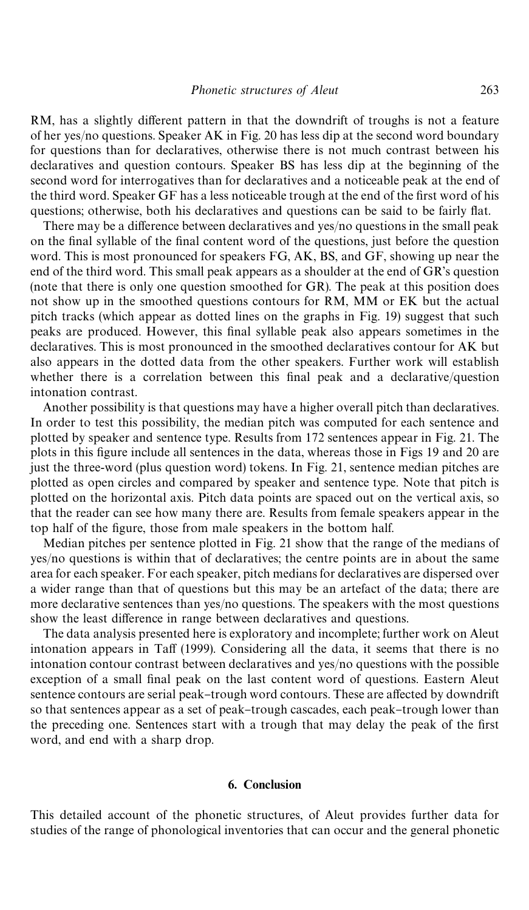RM, has a slightly different pattern in that the downdrift of troughs is not a feature of her yes/no questions. Speaker AK in [Fig. 20](#page-30-0) has less dip at the second word boundary for questions than for declaratives, otherwise there is not much contrast between his declaratives and question contours. Speaker BS has less dip at the beginning of the second word for interrogatives than for declaratives and a noticeable peak at the end of the third word. Speaker GF has a less noticeable trough at the end of the first word of his questions; otherwise, both his declaratives and questions can be said to be fairly #at.

There may be a difference between declaratives and yes/no questions in the small peak on the final syllable of the final content word of the questions, just before the question word. This is most pronounced for speakers FG, AK, BS, and GF, showing up near the end of the third word. This small peak appears as a shoulder at the end of GR's question (note that there is only one question smoothed for GR). The peak at this position does not show up in the smoothed questions contours for RM, MM or EK but the actual pitch tracks (which appear as dotted lines on the graphs in [Fig. 19\)](#page-29-0) suggest that such peaks are produced. However, this "nal syllable peak also appears sometimes in the declaratives. This is most pronounced in the smoothed declaratives contour for AK but also appears in the dotted data from the other speakers. Further work will establish whether there is a correlation between this final peak and a declarative/question intonation contrast.

Another possibility is that questions may have a higher overall pitch than declaratives. In order to test this possibility, the median pitch was computed for each sentence and plotted by speaker and sentence type. Results from 172 sentences appear in [Fig. 21.](#page-33-0) The plots in this "gure include all sentences in the data, whereas those in [Figs 19](#page-29-0) and [20](#page-30-0) are just the three-word (plus question word) tokens. In [Fig. 21,](#page-33-0) sentence median pitches are plotted as open circles and compared by speaker and sentence type. Note that pitch is plotted on the horizontal axis. Pitch data points are spaced out on the vertical axis, so that the reader can see how many there are. Results from female speakers appear in the top half of the figure, those from male speakers in the bottom half.

Median pitches per sentence plotted in [Fig. 21](#page-33-0) show that the range of the medians of yes/no questions is within that of declaratives; the centre points are in about the same area for each speaker. For each speaker, pitch medians for declaratives are dispersed over a wider range than that of questions but this may be an artefact of the data; there are more declarative sentences than yes/no questions. The speakers with the most questions show the least difference in range between declaratives and questions.

The data analysis presented here is exploratory and incomplete; further work on Aleut intonation appears in Taff  $(1999)$ . Considering all the data, it seems that there is no intonation contour contrast between declaratives and yes/no questions with the possible exception of a small final peak on the last content word of questions. Eastern Aleut sentence contours are serial peak-trough word contours. These are affected by downdrift so that sentences appear as a set of peak-trough cascades, each peak-trough lower than the preceding one. Sentences start with a trough that may delay the peak of the first word, and end with a sharp drop.

#### 6. Conclusion

This detailed account of the phonetic structures, of Aleut provides further data for studies of the range of phonological inventories that can occur and the general phonetic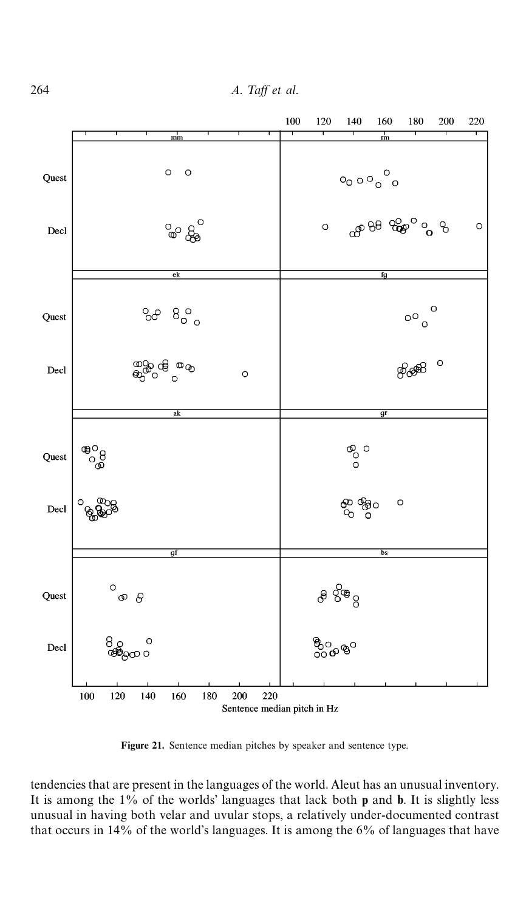<span id="page-33-0"></span>

Figure 21. Sentence median pitches by speaker and sentence type.

tendencies that are present in the languages of the world. Aleut has an unusual inventory. It is among the 1% of the worlds' languages that lack both p and b. It is slightly less unusual in having both velar and uvular stops, a relatively under-documented contrast that occurs in 14% of the world's languages. It is among the 6% of languages that have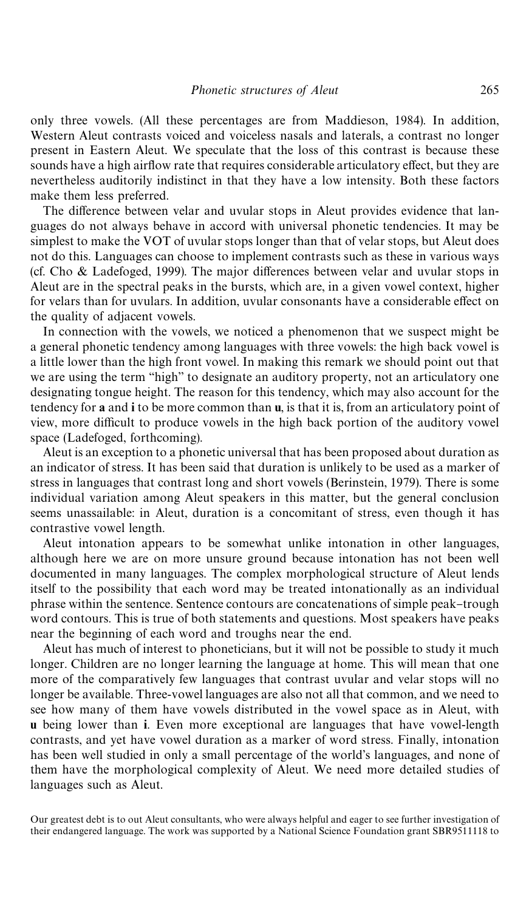only three vowels. (All these percentages are from [Maddieson, 1984](#page-36-0)). In addition, Western Aleut contrasts voiced and voiceless nasals and laterals, a contrast no longer present in Eastern Aleut. We speculate that the loss of this contrast is because these sounds have a high airflow rate that requires considerable articulatory effect, but they are nevertheless auditorily indistinct in that they have a low intensity. Both these factors make them less preferred.

The difference between velar and uvular stops in Aleut provides evidence that languages do not always behave in accord with universal phonetic tendencies. It may be simplest to make the VOT of uvular stops longer than that of velar stops, but Aleut does not do this. Languages can choose to implement contrasts such as these in various ways (cf. Cho  $& Ladefoged, 1999$ ). The major differences between velar and uvular stops in Aleut are in the spectral peaks in the bursts, which are, in a given vowel context, higher for velars than for uvulars. In addition, uvular consonants have a considerable effect on the quality of adjacent vowels.

In connection with the vowels, we noticed a phenomenon that we suspect might be a general phonetic tendency among languages with three vowels: the high back vowel is a little lower than the high front vowel. In making this remark we should point out that we are using the term "high" to designate an auditory property, not an articulatory one designating tongue height. The reason for this tendency, which may also account for the tendency for a and i to be more common than u, is that it is, from an articulatory point of view, more difficult to produce vowels in the high back portion of the auditory vowel space (Ladefoged, forthcoming).

Aleut is an exception to a phonetic universal that has been proposed about duration as an indicator of stress. It has been said that duration is unlikely to be used as a marker of stress in languages that contrast long and short vowels [\(Berinstein, 1979\).](#page-35-0) There is some individual variation among Aleut speakers in this matter, but the general conclusion seems unassailable: in Aleut, duration is a concomitant of stress, even though it has contrastive vowel length.

Aleut intonation appears to be somewhat unlike intonation in other languages, although here we are on more unsure ground because intonation has not been well documented in many languages. The complex morphological structure of Aleut lends itself to the possibility that each word may be treated intonationally as an individual phrase within the sentence. Sentence contours are concatenations of simple peak-trough word contours. This is true of both statements and questions. Most speakers have peaks near the beginning of each word and troughs near the end.

Aleut has much of interest to phoneticians, but it will not be possible to study it much longer. Children are no longer learning the language at home. This will mean that one more of the comparatively few languages that contrast uvular and velar stops will no longer be available. Three-vowel languages are also not all that common, and we need to see how many of them have vowels distributed in the vowel space as in Aleut, with u being lower than i. Even more exceptional are languages that have vowel-length contrasts, and yet have vowel duration as a marker of word stress. Finally, intonation has been well studied in only a small percentage of the world's languages, and none of them have the morphological complexity of Aleut. We need more detailed studies of languages such as Aleut.

Our greatest debt is to out Aleut consultants, who were always helpful and eager to see further investigation of their endangered language. The work was supported by a National Science Foundation grant SBR9511118 to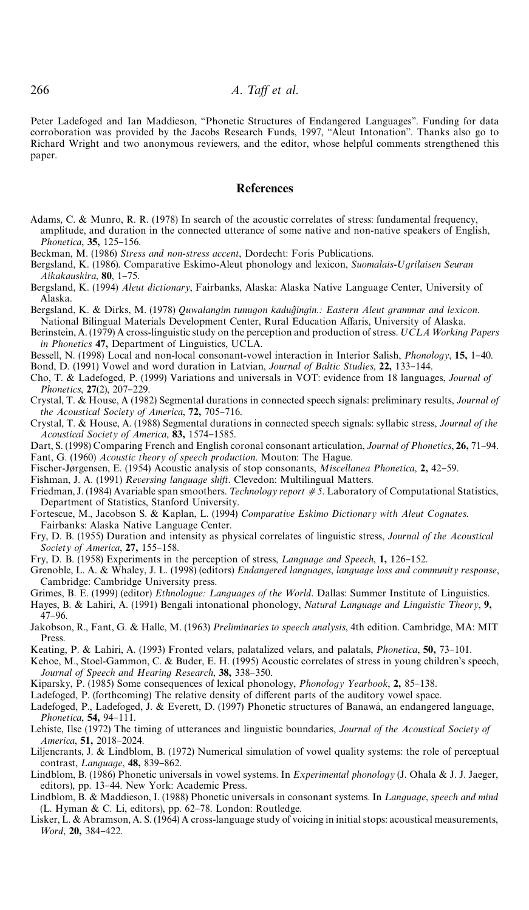<span id="page-35-0"></span>Peter Ladefoged and Ian Maddieson, "Phonetic Structures of Endangered Languages". Funding for data corroboration was provided by the Jacobs Research Funds, 1997, "Aleut Intonation". Thanks also go to Richard Wright and two anonymous reviewers, and the editor, whose helpful comments strengthened this paper.

### References

- Adams, C. & Munro, R. R. (1978) In search of the acoustic correlates of stress: fundamental frequency, amplitude, and duration in the connected utterance of some native and non-native speakers of English, *Phonetica*, 35, 125-156.
- Beckman, M. (1986) *Stress and non*-*stress accent*, Dordecht: Foris Publications.
- Bergsland, K. (1986). Comparative Eskimo-Aleut phonology and lexicon, *Suomalais-Ugrilaisen Seuran Aikakauskira*, 80, 1}75.
- Bergsland, K. (1994) *Aleut dictionary*, Fairbanks, Alaska: Alaska Native Language Center, University of Alaska.
- Bergsland, K. & Dirks, M. (1978) *Quwalangim tunugon kaduĝingin*.: *Eastern Aleut grammar and lexicon*. National Bilingual Materials Development Center, Rural Education Affaris, University of Alaska.
- Berinstein, A. (1979) A cross-linguistic study on the perception and production of stress. *UCLA Working Papers in Phonetics* 47, Department of Linguistics, UCLA.
- Bessell, N. (1998) Local and non-local consonant-vowel interaction in Interior Salish, *Phonology*, 15, 1–40. Bond, D. (1991) Vowel and word duration in Latvian, *Journal of Baltic Studies*, 22, 133-144.
- Cho, T. & Ladefoged, P. (1999) Variations and universals in VOT: evidence from 18 languages, *Journal of Phonetics*, 27(2), 207-229.
- Crystal, T. & House, A (1982) Segmental durations in connected speech signals: preliminary results, *Journal of the Acoustical Society of America*, 72, 705-716.
- Crystal, T. & House, A. (1988) Segmental durations in connected speech signals: syllabic stress, *Journal of the* Acoustical Society of America, 83, 1574-1585.
- Dart, S. (1998) Comparing French and English coronal consonant articulation, *Journal of Phonetics*, **26**, 71–94. Fant, G. (1960) *Acoustic theory of speech production*. Mouton: The Hague.
- Fischer-Jørgensen, E. (1954) Acoustic analysis of stop consonants, *Miscellanea Phonetica*, 2, 42–59.
- Fishman, J. A. (1991) *Reversing language shift*. Clevedon: Multilingual Matters.
- Friedman, J. (1984) Avariable span smoothers. *Technology report* #5. Laboratory of Computational Statistics, Department of Statistics, Stanford University.
- Fortescue, M., Jacobson S. & Kaplan, L. (1994) *Comparative Eskimo Dictionary with Aleut Cognates*. Fairbanks: Alaska Native Language Center.
- Fry, D. B. (1955) Duration and intensity as physical correlates of linguistic stress, *Journal of the Acoustical Society of America*, **27,** 155-158.
- Fry, D. B. (1958) Experiments in the perception of stress, *Language and Speech*, 1, 126-152.
- Grenoble, L. A. & Whaley, J. L. (1998) (editors) *Endangered languages*, *language loss and community response*, Cambridge: Cambridge University press.
- Grimes, B. E. (1999) (editor) *Ethnologue: Languages of the World*. Dallas: Summer Institute of Linguistics.
- Hayes, B. & Lahiri, A. (1991) Bengali intonational phonology, *Natural Language and Linguistic Theory*, 9,  $47 - 96.$
- Jakobson, R., Fant, G. & Halle, M. (1963) *Preliminaries to speech analysis*, 4th edition. Cambridge, MA: MIT Press.
- Keating, P. & Lahiri, A. (1993) Fronted velars, palatalized velars, and palatals, *Phonetica*, 50, 73-101.
- Kehoe, M., Stoel-Gammon, C. & Buder, E. H. (1995) Acoustic correlates of stress in young children's speech, Journal of Speech and Hearing Research, 38, 338-350.
- Kiparsky, P. (1985) Some consequences of lexical phonology, *Phonology Yearbook*, 2, 85-138.
- Ladefoged, P. (forthcoming) The relative density of different parts of the auditory vowel space.
- Ladefoged, P., Ladefoged, J. & Everett, D. (1997) Phonetic structures of Banawá, an endangered language, *Phonetica*, 54, 94-111.
- Lehiste, Ilse (1972) The timing of utterances and linguistic boundaries, *Journal of the Acoustical Society of America*, 51, 2018-2024.
- Liljencrants, J. & Lindblom, B. (1972) Numerical simulation of vowel quality systems: the role of perceptual contrast, *Language*, 48, 839-862.
- Lindblom, B. (1986) Phonetic universals in vowel systems. In *Experimental phonology* (J. Ohala & J. J. Jaeger, editors), pp. 13-44. New York: Academic Press.
- Lindblom, B. & Maddieson, I. (1988) Phonetic universals in consonant systems. In *Language*, *speech and mind* (L. Hyman & C. Li, editors), pp. 62-78. London: Routledge.
- Lisker, L. & Abramson, A. S. (1964) A cross-language study of voicing in initial stops: acoustical measurements, Word, 20, 384-422.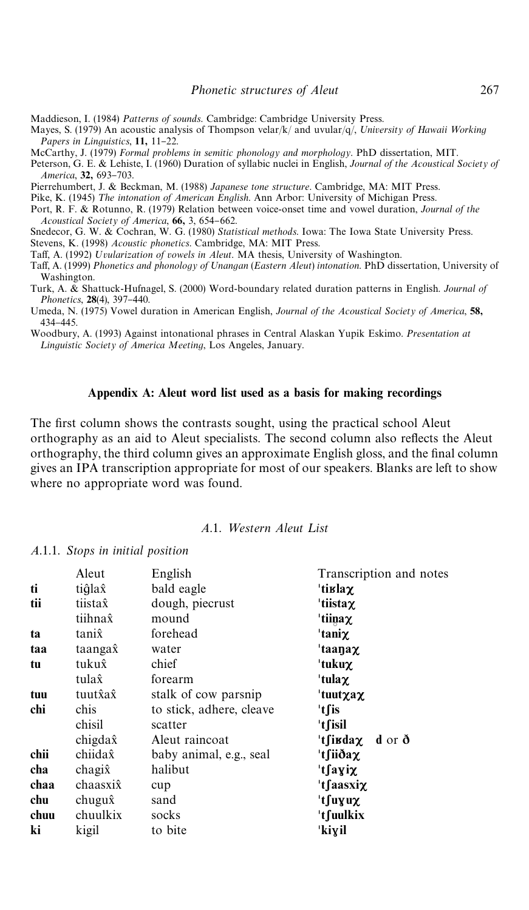<span id="page-36-0"></span>Maddieson, I. (1984) *Patterns of sounds*. Cambridge: Cambridge University Press.

Mayes, S. (1979) An acoustic analysis of Thompson velar/k/ and uvular/q/, *University of Hawaii Working Papers in Linguistics*, 11, 11-22.

McCarthy, J. (1979) *Formal problems in semitic phonology and morphology*. PhD dissertation, MIT.

Peterson, G. E. & Lehiste, I. (1960) Duration of syllabic nuclei in English, *Journal of the Acoustical Society of America*, 32, 693-703.

Pierrehumbert, J. & Beckman, M. (1988) *Japanese tone structure*. Cambridge, MA: MIT Press.

Pike, K. (1945) *The intonation of American English*. Ann Arbor: University of Michigan Press.

Port, R. F. & Rotunno, R. (1979) Relation between voice-onset time and vowel duration, *Journal of the* Acoustical Society of America, 66, 3, 654-662.

Snedecor, G. W. & Cochran, W. G. (1980) *Statistical methods*. Iowa: The Iowa State University Press. Stevens, K. (1998) *Acoustic phonetics*. Cambridge, MA: MIT Press.

Taff, A. (1992) *Uvularization of vowels in Aleut*. MA thesis, University of Washington.

Taff, A. (1999) *Phonetics and phonology of Unangan* (*Eastern Aleut*) *intonation*. PhD dissertation, University of Washington.

Turk, A. & Shattuck-Hufnagel, S. (2000) Word-boundary related duration patterns in English. *Journal of Phonetics*, 28(4), 397-440.

Umeda, N. (1975) Vowel duration in American English, *Journal of the Acoustical Society of America*, 58, 434-445.

Woodbury, A. (1993) Against intonational phrases in Central Alaskan Yupik Eskimo. *Presentation at* ¸*inguistic Society of America Meeting*, Los Angeles, January.

## Appendix A: Aleut word list used as a basis for making recordings

The first column shows the contrasts sought, using the practical school Aleut orthography as an aid to Aleut specialists. The second column also reflects the Aleut orthography, the third column gives an approximate English gloss, and the final column gives an IPA transcription appropriate for most of our speakers. Blanks are left to show where no appropriate word was found.

#### *A.1. Western Aleut List*

#### *A*.1.1. *Stops in initial position*

|      | Aleut           | English                  | Transcription and notes              |
|------|-----------------|--------------------------|--------------------------------------|
| ti   | tiĝlax          | bald eagle               | 'tiʁlaχ                              |
| tii  | tiistax         | dough, piecrust          | 'tiista χ                            |
|      | tiihnax         | mound                    | 'tiinaχ                              |
| ta   | tanix           | forehead                 | 'tani $\chi$                         |
| taa  | taangax         | water                    | 'taanax                              |
| tu   | tukux           | chief                    | 'tukuχ                               |
|      | tulax           | forearm                  | 'tulaχ                               |
| tuu  | tuutxax         | stalk of cow parsnip     | 'tuutχaχ                             |
| chi  | chis            | to stick, adhere, cleave | $'t$ [is                             |
|      | chisil          | scatter                  | 't fisil                             |
|      | $chigda\hat{x}$ | Aleut raincoat           | 'tfi <b>rda</b> $\chi$ d or $\delta$ |
| chii | chiidax         | baby animal, e.g., seal  | 't∫iiðaχ                             |
| cha  | chagix          | halibut                  | $'t\int a\gamma i\chi$               |
| chaa | chaasxix        | cup                      | $\mathbf{t}$ [aasxi $\mathbf{x}$ ]   |
| chu  | chugux          | sand                     | $'t \int u \gamma u \gamma$          |
| chuu | chuulkix        | socks                    | 't fuulkix                           |
| ki   | kigil           | to bite                  | 'kiyil                               |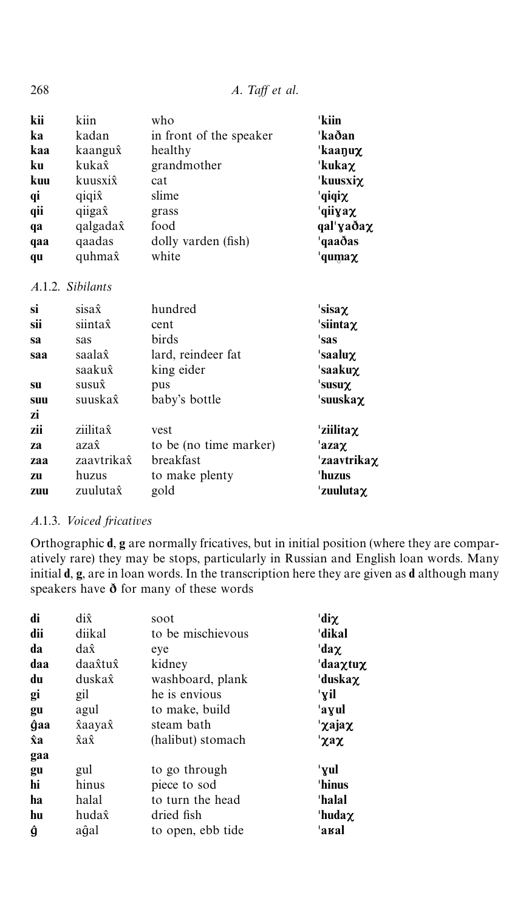268 *A*. Taff et al.

| kii       | kiin             | who                     | 'kiin                   |
|-----------|------------------|-------------------------|-------------------------|
| ka        | kadan            | in front of the speaker | 'kaðan                  |
| kaa       | kaangux          | healthy                 | 'kaaŋuχ                 |
| ku        | kukax            | grandmother             | 'kukaχ                  |
| kuu       | kuusxix          | cat                     | 'kuusxiχ                |
| qi        | qiqix            | slime                   | 'qiqiχ                  |
| qii       | qiigax           | grass                   | 'qiiyaχ                 |
| qa        | qalgadax         | food                    | qal'γaðaχ               |
| qaa       | qaadas           | dolly varden (fish)     | 'qaaðas                 |
| qu        | quhmax           | white                   | 'qumaχ                  |
|           | A.1.2. Sibilants |                         |                         |
| si        | $sisa\hat{x}$    | hundred                 | 'sisa $\chi$            |
| sii       | siintax          | cent                    | 'siinta $\chi$          |
| sa        | sas              | birds                   | 'sas                    |
| saa       | saalax           | lard, reindeer fat      | 'saaluχ                 |
|           | saakux           | king eider              | 'saakuχ                 |
| <b>SU</b> | susux            | pus                     | $^{\prime}$ susu $\chi$ |
| suu       | suuskax          | baby's bottle           | 'suuskaχ                |
| zi        |                  |                         |                         |
| zii       | ziilitax         | vest                    | 'ziilita <sub>χ</sub>   |
| za        | azax             | to be (no time marker)  | 'azaχ                   |
| zaa       | zaavtrikax       | breakfast               | 'zaavtrikaχ             |
| zu        | huzus            | to make plenty          | 'huzus                  |

zuu zuulutax<sup>o</sup> gold 'zuulutaχ

## *A*.1.3. <*oiced fricatives*

Orthographic d, g are normally fricatives, but in initial position (where they are comparatively rare) they may be stops, particularly in Russian and English loan words. Many initial d, g, are in loan words. In the transcription here they are given as d although many speakers have ð for many of these words

| di                               | $di\hat{x}$                            | soot                                                                                 | 'di $\chi$                                  |
|----------------------------------|----------------------------------------|--------------------------------------------------------------------------------------|---------------------------------------------|
| dii                              | diikal                                 | to be mischievous                                                                    | 'dikal                                      |
| da                               | dax                                    | eye                                                                                  | $\mathbf{d}$ a $\boldsymbol{\chi}$          |
| daa                              | daaxtux                                | kidney                                                                               | 'daaχtuχ                                    |
| du                               | duskax                                 | washboard, plank                                                                     | 'duskaχ                                     |
| gi                               | gil                                    | he is envious                                                                        | 'yil                                        |
| gu                               | agul                                   | to make, build                                                                       | 'ayul                                       |
| ĝaa                              | xaayax                                 | steam bath                                                                           | $'x$ aja $x$                                |
| ŷа                               | х̂ах̂                                  | (halibut) stomach                                                                    | $'xa$ $x$                                   |
| gaa<br>gu<br>hi<br>ha<br>hu<br>ĝ | gul<br>hinus<br>halal<br>hudax<br>aĝal | to go through<br>piece to sod<br>to turn the head<br>dried fish<br>to open, ebb tide | 'yul<br>'hinus<br>'halal<br>'hudaγ<br>'aĸal |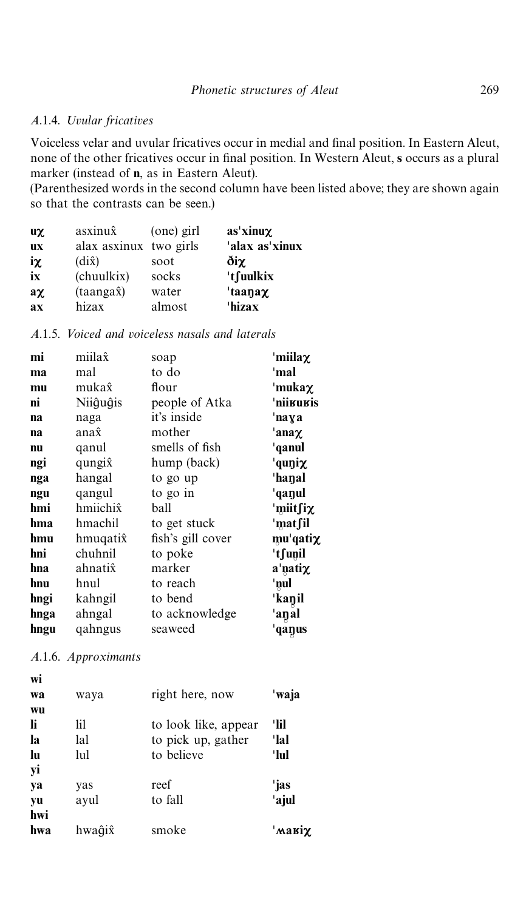## *A*.1.4. ;*vular fricatives*

Voiceless velar and uvular fricatives occur in medial and final position. In Eastern Aleut, none of the other fricatives occur in final position. In Western Aleut, s occurs as a plural marker (instead of n, as in Eastern Aleut).

(Parenthesized words in the second column have been listed above; they are shown again so that the contrasts can be seen.)

| $u\chi$ | asxinux                            | (one) girl | $as'xinu\chi$  |
|---------|------------------------------------|------------|----------------|
| ux      | alax asxinux two girls             |            | 'alax as'xinux |
| $i\chi$ | $\left(\frac{di\hat{x}}{i}\right)$ | soot       | ðiχ            |
| ix      | (chuulkix)                         | socks      | 't fuulkix     |
| $a\chi$ | $(taanga\hat{x})$                  | water      | taanaχ         |
| ax      | hizax                              | almost     | 'hizax         |

*A*.1.5. <*oiced and voiceless nasals and laterals*

| mi   | miilax   | soap              | 'miilaχ                 |
|------|----------|-------------------|-------------------------|
| ma   | mal      | to do             | 'mal                    |
| mu   | mukax    | flour             | 'mukaχ                  |
| ni   | Niiĝuĝis | people of Atka    | 'nii¤uʁis               |
| na   | naga     | it's inside       | 'naya                   |
| na   | anax     | mother            | $'$ ana $\chi$          |
| nu   | qanul    | smells of fish    | 'qanul                  |
| ngi  | qungix   | hump (back)       | $^{\prime}$ quŋi $\chi$ |
| nga  | hangal   | to go up          | 'haŋal                  |
| ngu  | qangul   | to go in          | 'qaŋul                  |
| hmi  | hmiichix | ball              | 'miit fi $\chi$         |
| hma  | hmachil  | to get stuck      | 'matfil                 |
| hmu  | hmuqatix | fish's gill cover | mu'qatix                |
| hni  | chuhnil  | to poke           | 't∫unil                 |
| hna  | ahnatix  | marker            | $a'$ nati $\chi$        |
| hnu  | hnul     | to reach          | 'nul                    |
| hngi | kahngil  | to bend           | 'kaŋil                  |
| hnga | ahngal   | to acknowledge    | 'aŋal                   |
| hngu | qahngus  | seaweed           | 'qaŋus                  |
|      |          |                   |                         |

## *A*.1.6. *Approximants*

| wi  |                    |                      |        |
|-----|--------------------|----------------------|--------|
| wa  | waya               | right here, now      | 'waja  |
| wu  |                    |                      |        |
| -li | lil.               | to look like, appear | 'lil   |
| la  | lal                | to pick up, gather   | 'lal   |
| lu  | lul                | to believe           | 'lul   |
| yi  |                    |                      |        |
| ya  | yas                | reef                 | 'jas   |
| yu  | ayul               | to fall              | 'ajul  |
| hwi |                    |                      |        |
| hwa | hwaĝi <del>k</del> | smoke                | 'макіх |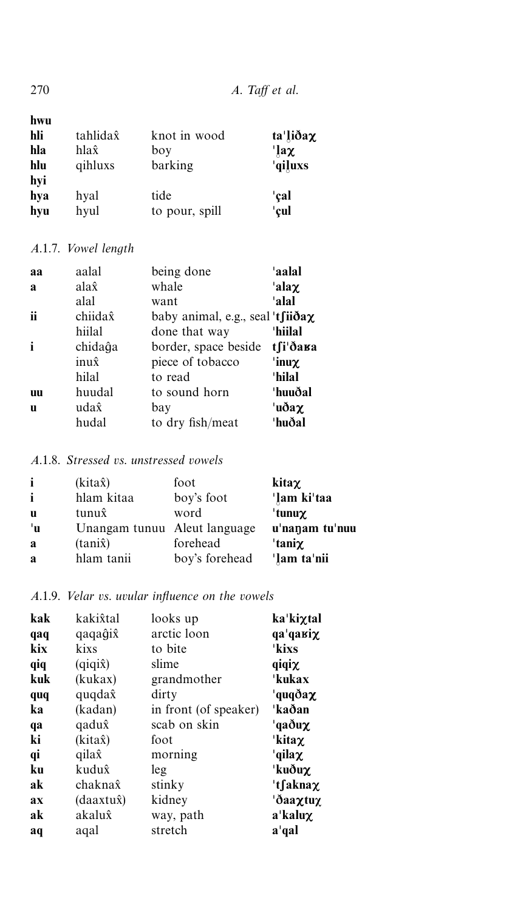| hwu |          |                |            |
|-----|----------|----------------|------------|
| hli | tahlidax | knot in wood   | ta   liðaχ |
| hla | hlax     | boy            | 'la $\chi$ |
| hlu | qihluxs  | barking        | 'qiluxs    |
| hyi |          |                |            |
| hya | hyal     | tide           | 'cal       |
| hvu | hyul     | to pour, spill | 'çul       |

## *A*.1.7. <*owel length*

| aa           | aalal        | being done                       | 'aalal                 |
|--------------|--------------|----------------------------------|------------------------|
| $\mathbf{a}$ | alax         | whale                            | 'alaχ                  |
|              | alal         | want                             | 'alal                  |
| <b>ii</b>    | chiidax      | baby animal, e.g., seal 'tfiiðax |                        |
|              | hiilal       | done that way                    | 'hiilal                |
| i            | chidaĝa      | border, space beside             | t fi'ðaka              |
|              | $inu\hat{x}$ | piece of tobacco                 | $^{\prime}$ inu $\chi$ |
|              | hilal        | to read                          | 'hilal                 |
| uu           | huudal       | to sound horn                    | 'huuðal                |
| $\mathbf{u}$ | udax         | bay                              | 'uðaγ                  |
|              | hudal        | to dry fish/meat                 | 'huðal                 |
|              |              |                                  |                        |

## *A*.1.8. *Stressed vs*. *unstressed vowels*

| i            | $(kita\hat{x})$              | foot           | $k$ ita $\chi$  |
|--------------|------------------------------|----------------|-----------------|
| i.           | hlam kitaa                   | boy's foot     | 'lam ki'taa     |
| $\mathbf{u}$ | tunux                        | word           | $'$ tunu $\chi$ |
| 'u           | Unangam tunuu Aleut language |                | u'nanam tu'nuu  |
| $\mathbf{a}$ | $(tani\hat{x})$              | forehead       | 'tani $\chi$    |
| $\mathbf{a}$ | hlam tanii                   | boy's forehead | 'lam ta'nii     |
|              |                              |                |                 |

## *A*.1.9. <*elar vs*. *uvular in*-*uence on the vowels*

| kak | kakixtal          | looks up              | ka'kiχtal |
|-----|-------------------|-----------------------|-----------|
| qaq | qaqaĝik           | arctic loon           | qa'qa rix |
| kix | kixs              | to bite               | 'kixs     |
| qiq | $(qiqi\hat{x})$   | slime                 | qiqix     |
| kuk | (kukax)           | grandmother           | 'kukax    |
| quq | quqdax            | dirty                 | 'quqðaχ   |
| ka  | (kadan)           | in front (of speaker) | 'kaðan    |
| qa  | qadux             | scab on skin          | 'qaðuχ    |
| ki  | (kitax)           | foot                  | 'kitaχ    |
| qi  | qilax             | morning               | 'qilaχ    |
| ku  | kudux             | leg                   | 'kuðuχ    |
| ak  | chaknax           | stinky                | 't∫aknaγ  |
| ax  | $(daaxtu\hat{x})$ | kidney                | 'δaaχtuχ  |
| ak  | akalux            | way, path             | a'kaluχ   |
| aq  | aqal              | stretch               | a'qal     |